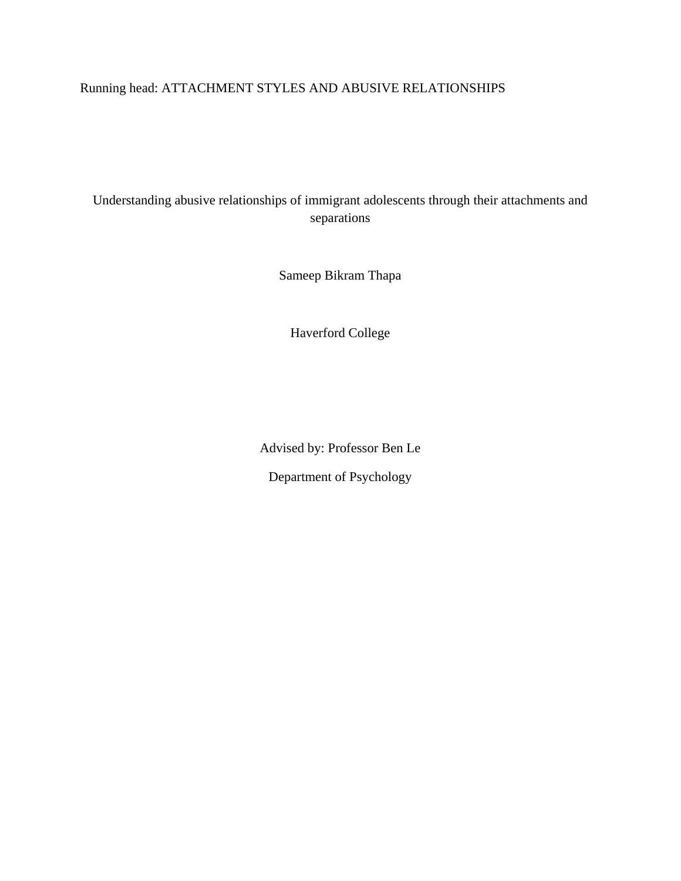# Running head: ATTACHMENT STYLES AND ABUSIVE RELATIONSHIPS

Understanding abusive relationships of immigrant adolescents through their attachments and separations

Sameep Bikram Thapa

Haverford College

Advised by: Professor Ben Le Department of Psychology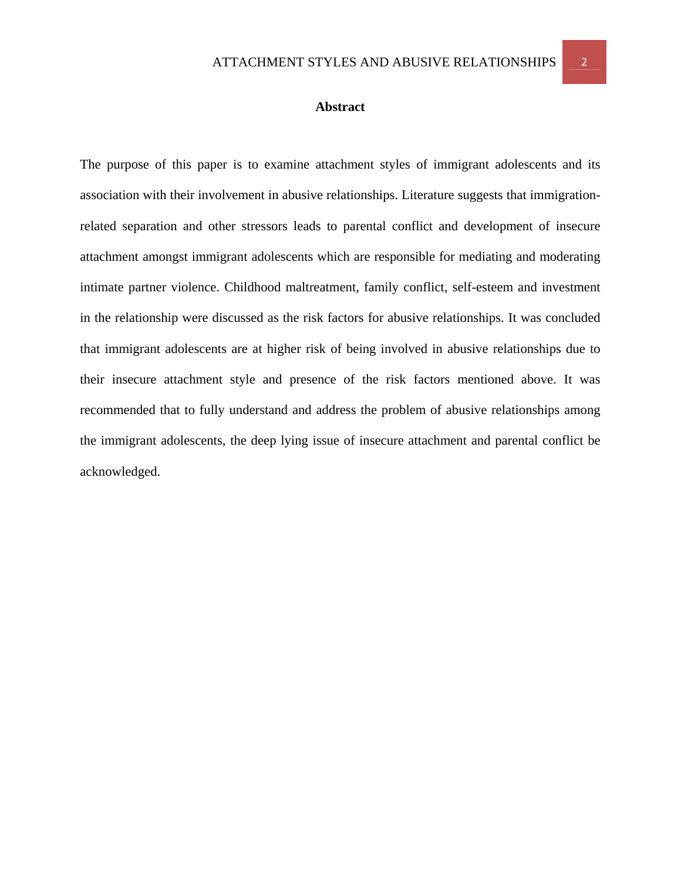#### **Abstract**

The purpose of this paper is to examine attachment styles of immigrant adolescents and its association with their involvement in abusive relationships. Literature suggests that immigrationrelated separation and other stressors leads to parental conflict and development of insecure attachment amongst immigrant adolescents which are responsible for mediating and moderating intimate partner violence. Childhood maltreatment, family conflict, self-esteem and investment in the relationship were discussed as the risk factors for abusive relationships. It was concluded that immigrant adolescents are at higher risk of being involved in abusive relationships due to their insecure attachment style and presence of the risk factors mentioned above. It was recommended that to fully understand and address the problem of abusive relationships among the immigrant adolescents, the deep lying issue of insecure attachment and parental conflict be acknowledged.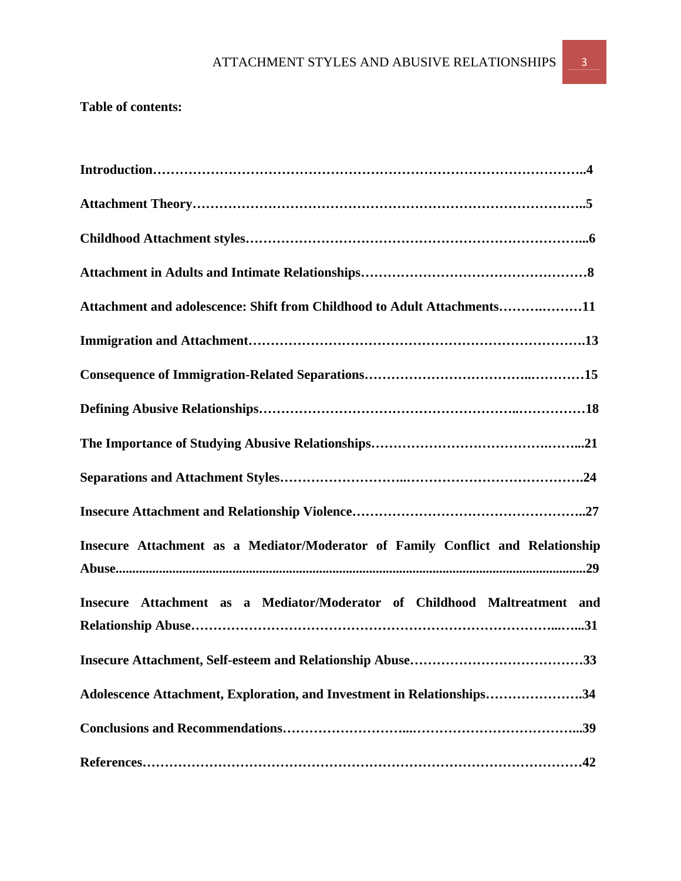# **Table of contents:**

| Attachment and adolescence: Shift from Childhood to Adult Attachments11         |
|---------------------------------------------------------------------------------|
|                                                                                 |
|                                                                                 |
|                                                                                 |
|                                                                                 |
|                                                                                 |
|                                                                                 |
| Insecure Attachment as a Mediator/Moderator of Family Conflict and Relationship |
| Insecure Attachment as a Mediator/Moderator of Childhood Maltreatment and       |
| Insecure Attachment, Self-esteem and Relationship Abuse<br>33                   |
| Adolescence Attachment, Exploration, and Investment in Relationships34          |
|                                                                                 |
|                                                                                 |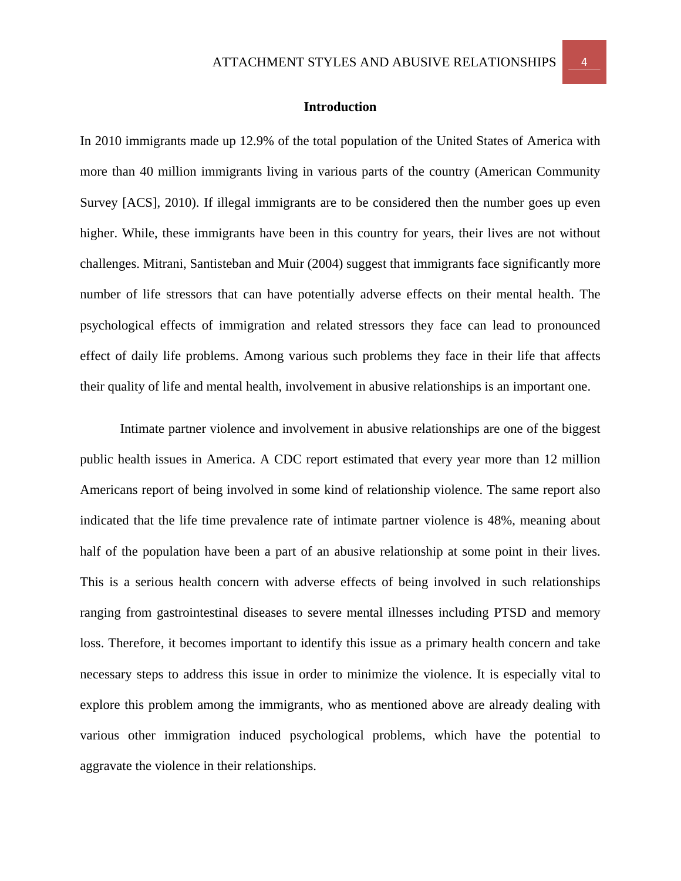#### **Introduction**

In 2010 immigrants made up 12.9% of the total population of the United States of America with more than 40 million immigrants living in various parts of the country (American Community Survey [ACS], 2010). If illegal immigrants are to be considered then the number goes up even higher. While, these immigrants have been in this country for years, their lives are not without challenges. Mitrani, Santisteban and Muir (2004) suggest that immigrants face significantly more number of life stressors that can have potentially adverse effects on their mental health. The psychological effects of immigration and related stressors they face can lead to pronounced effect of daily life problems. Among various such problems they face in their life that affects their quality of life and mental health, involvement in abusive relationships is an important one.

Intimate partner violence and involvement in abusive relationships are one of the biggest public health issues in America. A CDC report estimated that every year more than 12 million Americans report of being involved in some kind of relationship violence. The same report also indicated that the life time prevalence rate of intimate partner violence is 48%, meaning about half of the population have been a part of an abusive relationship at some point in their lives. This is a serious health concern with adverse effects of being involved in such relationships ranging from gastrointestinal diseases to severe mental illnesses including PTSD and memory loss. Therefore, it becomes important to identify this issue as a primary health concern and take necessary steps to address this issue in order to minimize the violence. It is especially vital to explore this problem among the immigrants, who as mentioned above are already dealing with various other immigration induced psychological problems, which have the potential to aggravate the violence in their relationships.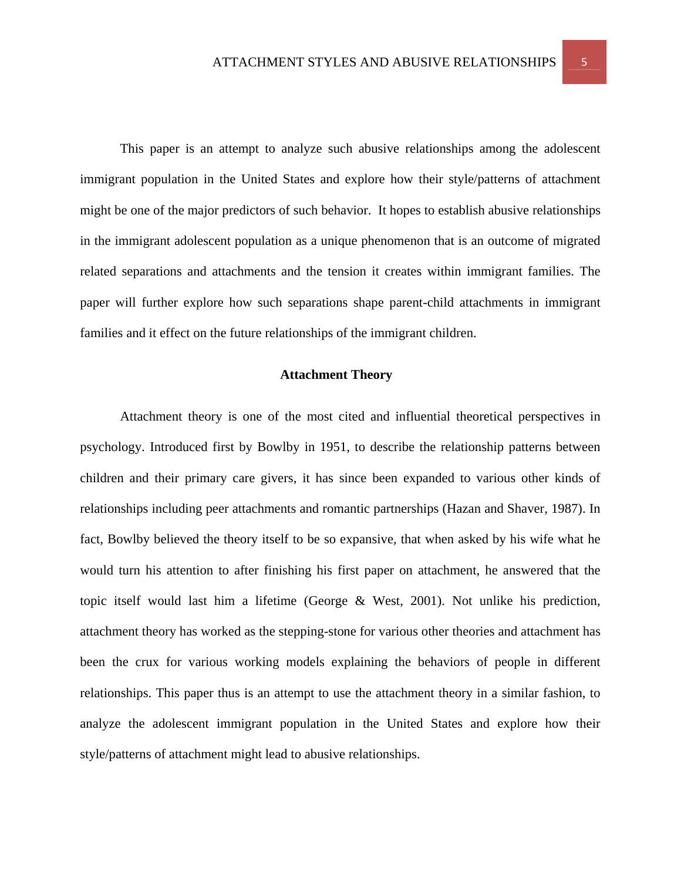This paper is an attempt to analyze such abusive relationships among the adolescent immigrant population in the United States and explore how their style/patterns of attachment might be one of the major predictors of such behavior. It hopes to establish abusive relationships in the immigrant adolescent population as a unique phenomenon that is an outcome of migrated related separations and attachments and the tension it creates within immigrant families. The paper will further explore how such separations shape parent-child attachments in immigrant families and it effect on the future relationships of the immigrant children.

## **Attachment Theory**

Attachment theory is one of the most cited and influential theoretical perspectives in psychology. Introduced first by Bowlby in 1951, to describe the relationship patterns between children and their primary care givers, it has since been expanded to various other kinds of relationships including peer attachments and romantic partnerships (Hazan and Shaver, 1987). In fact, Bowlby believed the theory itself to be so expansive, that when asked by his wife what he would turn his attention to after finishing his first paper on attachment, he answered that the topic itself would last him a lifetime (George & West, 2001). Not unlike his prediction, attachment theory has worked as the stepping-stone for various other theories and attachment has been the crux for various working models explaining the behaviors of people in different relationships. This paper thus is an attempt to use the attachment theory in a similar fashion, to analyze the adolescent immigrant population in the United States and explore how their style/patterns of attachment might lead to abusive relationships.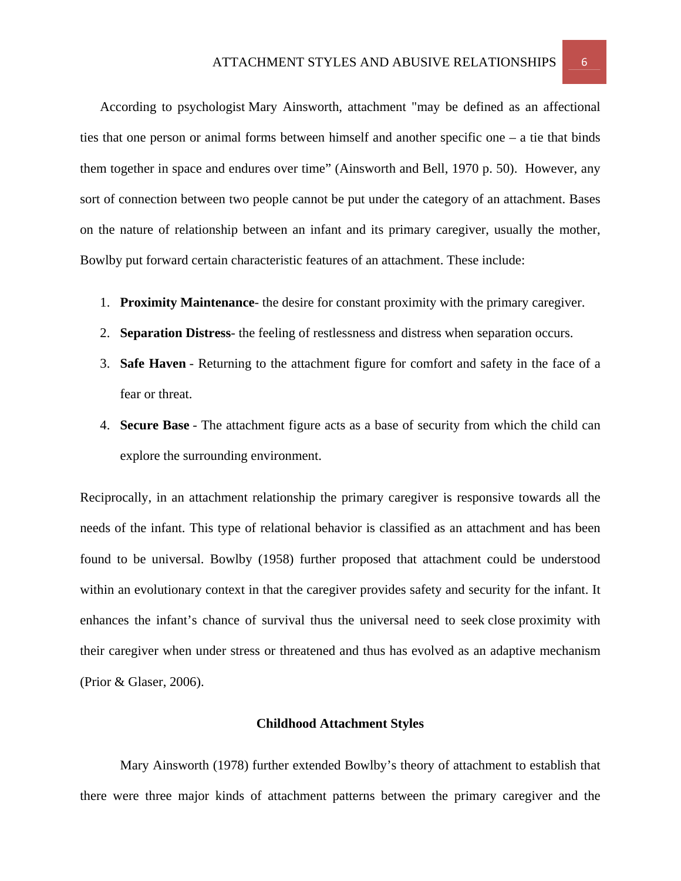According to psychologist Mary Ainsworth, attachment "may be defined as an affectional ties that one person or animal forms between himself and another specific one – a tie that binds them together in space and endures over time" (Ainsworth and Bell, 1970 p. 50). However, any sort of connection between two people cannot be put under the category of an attachment. Bases on the nature of relationship between an infant and its primary caregiver, usually the mother, Bowlby put forward certain characteristic features of an attachment. These include:

- 1. **Proximity Maintenance** the desire for constant proximity with the primary caregiver.
- 2. **Separation Distress** the feeling of restlessness and distress when separation occurs.
- 3. **Safe Haven** Returning to the attachment figure for comfort and safety in the face of a fear or threat.
- 4. **Secure Base** The attachment figure acts as a base of security from which the child can explore the surrounding environment.

Reciprocally, in an attachment relationship the primary caregiver is responsive towards all the needs of the infant. This type of relational behavior is classified as an attachment and has been found to be universal. Bowlby (1958) further proposed that attachment could be understood within an evolutionary context in that the caregiver provides safety and security for the infant. It enhances the infant's chance of survival thus the universal need to seek close proximity with their caregiver when under stress or threatened and thus has evolved as an adaptive mechanism (Prior & Glaser, 2006).

## **Childhood Attachment Styles**

Mary Ainsworth (1978) further extended Bowlby's theory of attachment to establish that there were three major kinds of attachment patterns between the primary caregiver and the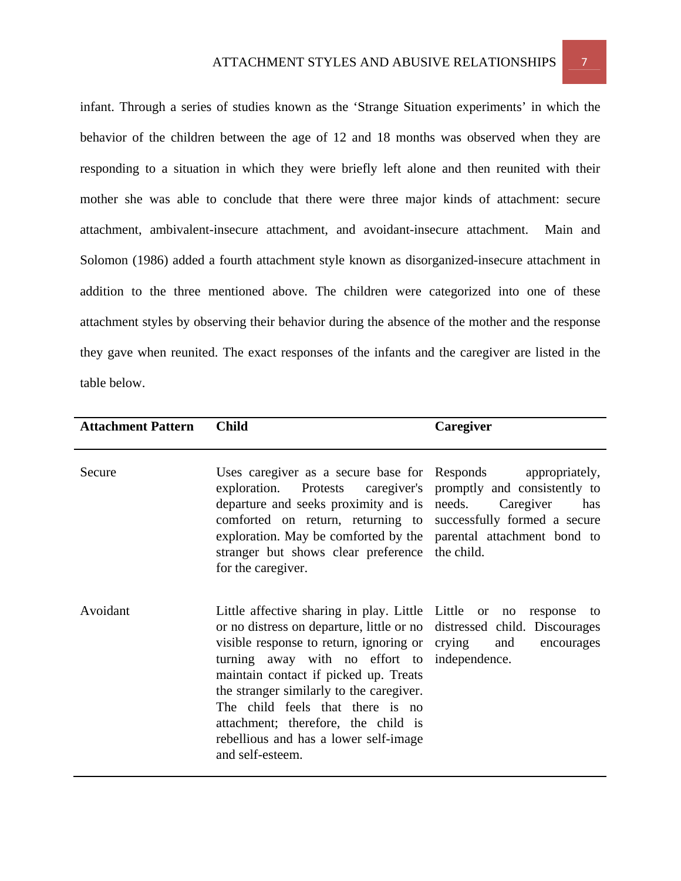infant. Through a series of studies known as the 'Strange Situation experiments' in which the behavior of the children between the age of 12 and 18 months was observed when they are responding to a situation in which they were briefly left alone and then reunited with their mother she was able to conclude that there were three major kinds of attachment: secure attachment, ambivalent-insecure attachment, and avoidant-insecure attachment. Main and Solomon (1986) added a fourth attachment style known as disorganized-insecure attachment in addition to the three mentioned above. The children were categorized into one of these attachment styles by observing their behavior during the absence of the mother and the response they gave when reunited. The exact responses of the infants and the caregiver are listed in the table below.

| <b>Attachment Pattern</b> | <b>Child</b>                                                                                                                                                                                                                                                                                                                                                                                                                                                    | Caregiver                          |
|---------------------------|-----------------------------------------------------------------------------------------------------------------------------------------------------------------------------------------------------------------------------------------------------------------------------------------------------------------------------------------------------------------------------------------------------------------------------------------------------------------|------------------------------------|
| Secure                    | Uses caregiver as a secure base for Responds<br>exploration. Protests caregiver's promptly and consistently to<br>departure and seeks proximity and is needs.<br>comforted on return, returning to successfully formed a secure<br>exploration. May be comforted by the parental attachment bond to<br>stranger but shows clear preference the child.<br>for the caregiver.                                                                                     | appropriately,<br>Caregiver<br>has |
| Avoidant                  | Little affective sharing in play. Little Little or no<br>or no distress on departure, little or no distressed child. Discourages<br>visible response to return, ignoring or crying<br>turning away with no effort to independence.<br>maintain contact if picked up. Treats<br>the stranger similarly to the caregiver.<br>The child feels that there is no<br>attachment; therefore, the child is<br>rebellious and has a lower self-image<br>and self-esteem. | response to<br>and<br>encourages   |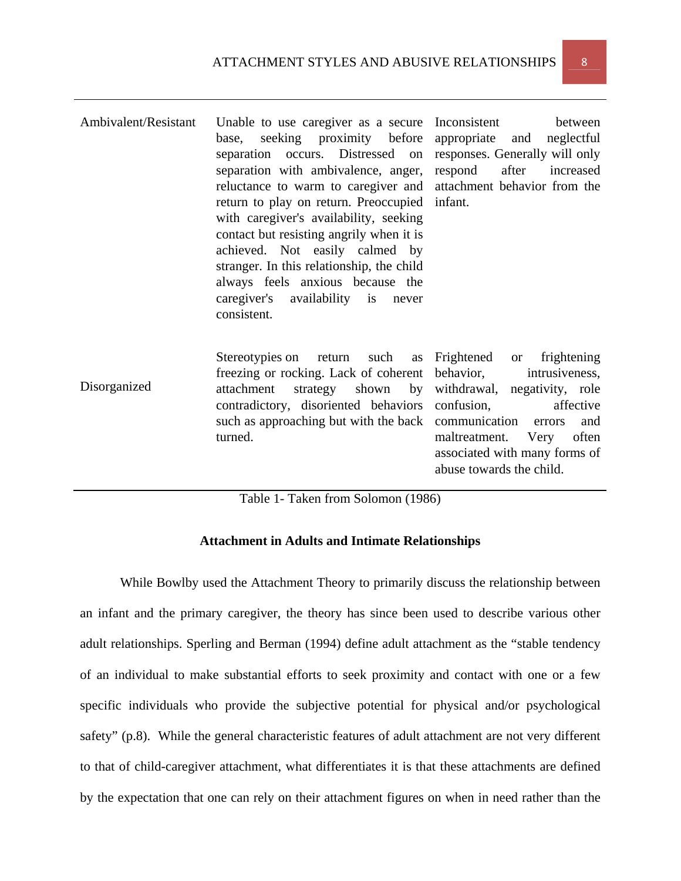| Ambivalent/Resistant               | Unable to use caregiver as a secure Inconsistent<br>base, seeking proximity before<br>separation occurs. Distressed on<br>separation with ambivalence, anger,<br>reluctance to warm to caregiver and attachment behavior from the<br>return to play on return. Preoccupied<br>with caregiver's availability, seeking<br>contact but resisting angrily when it is<br>achieved. Not easily calmed by<br>stranger. In this relationship, the child<br>always feels anxious because the<br>caregiver's availability is never<br>consistent. | between<br>appropriate<br>and neglectful<br>responses. Generally will only<br>after<br>respond<br>increased<br>infant.                                                                                                                                          |  |  |
|------------------------------------|-----------------------------------------------------------------------------------------------------------------------------------------------------------------------------------------------------------------------------------------------------------------------------------------------------------------------------------------------------------------------------------------------------------------------------------------------------------------------------------------------------------------------------------------|-----------------------------------------------------------------------------------------------------------------------------------------------------------------------------------------------------------------------------------------------------------------|--|--|
| Disorganized                       | Stereotypies on return such<br>freezing or rocking. Lack of coherent<br>attachment<br>contradictory, disoriented behaviors<br>such as approaching but with the back communication errors<br>turned.                                                                                                                                                                                                                                                                                                                                     | as Frightened<br>frightening<br><sub>or</sub><br>behavior,<br>intrusiveness,<br>strategy shown by withdrawal, negativity, role<br>confusion,<br>affective<br>and<br>maltreatment.<br>often<br>Very<br>associated with many forms of<br>abuse towards the child. |  |  |
| Table 1- Taken from Solomon (1986) |                                                                                                                                                                                                                                                                                                                                                                                                                                                                                                                                         |                                                                                                                                                                                                                                                                 |  |  |

# **Attachment in Adults and Intimate Relationships**

While Bowlby used the Attachment Theory to primarily discuss the relationship between an infant and the primary caregiver, the theory has since been used to describe various other adult relationships. Sperling and Berman (1994) define adult attachment as the "stable tendency of an individual to make substantial efforts to seek proximity and contact with one or a few specific individuals who provide the subjective potential for physical and/or psychological safety" (p.8). While the general characteristic features of adult attachment are not very different to that of child-caregiver attachment, what differentiates it is that these attachments are defined by the expectation that one can rely on their attachment figures on when in need rather than the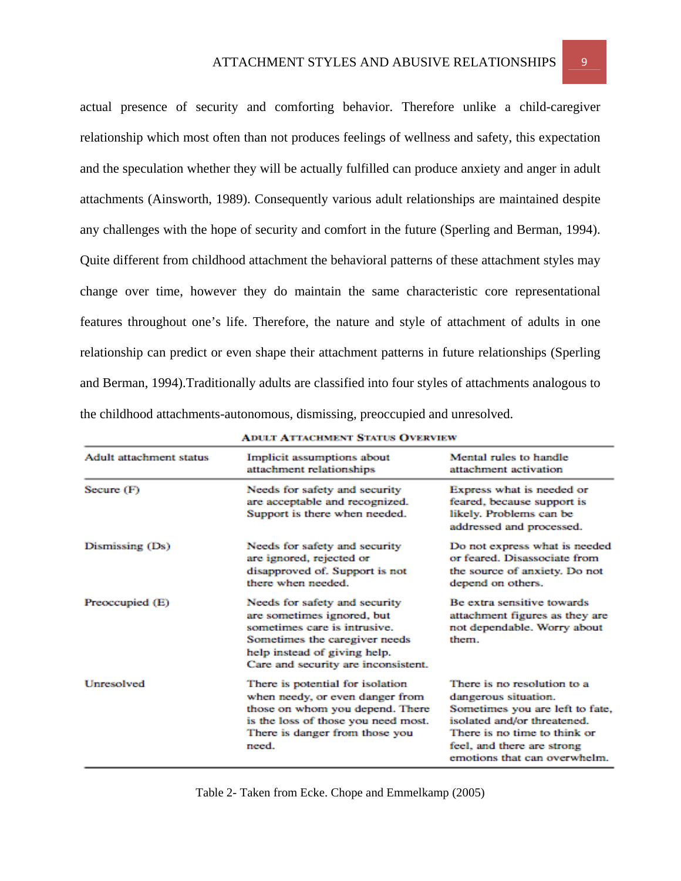actual presence of security and comforting behavior. Therefore unlike a child-caregiver relationship which most often than not produces feelings of wellness and safety, this expectation and the speculation whether they will be actually fulfilled can produce anxiety and anger in adult attachments (Ainsworth, 1989). Consequently various adult relationships are maintained despite any challenges with the hope of security and comfort in the future (Sperling and Berman, 1994). Quite different from childhood attachment the behavioral patterns of these attachment styles may change over time, however they do maintain the same characteristic core representational features throughout one's life. Therefore, the nature and style of attachment of adults in one relationship can predict or even shape their attachment patterns in future relationships (Sperling and Berman, 1994).Traditionally adults are classified into four styles of attachments analogous to the childhood attachments-autonomous, dismissing, preoccupied and unresolved.

| <b>Adult attachment status</b> | Implicit assumptions about<br>attachment relationships                                                                                                                                              | Mental rules to handle<br>attachment activation                                                                                                                                                                     |  |
|--------------------------------|-----------------------------------------------------------------------------------------------------------------------------------------------------------------------------------------------------|---------------------------------------------------------------------------------------------------------------------------------------------------------------------------------------------------------------------|--|
| Secure (F)                     | Needs for safety and security<br>are acceptable and recognized.<br>Support is there when needed.                                                                                                    | Express what is needed or<br>feared, because support is<br>likely. Problems can be<br>addressed and processed.                                                                                                      |  |
| Dismissing (Ds)                | Needs for safety and security<br>are ignored, rejected or<br>disapproved of. Support is not<br>there when needed.                                                                                   | Do not express what is needed<br>or feared. Disassociate from<br>the source of anxiety. Do not<br>depend on others.                                                                                                 |  |
| Preoccupied (E)                | Needs for safety and security<br>are sometimes ignored, but<br>sometimes care is intrusive.<br>Sometimes the caregiver needs<br>help instead of giving help.<br>Care and security are inconsistent. | Be extra sensitive towards<br>attachment figures as they are<br>not dependable. Worry about<br>them.                                                                                                                |  |
| Unresolved                     | There is potential for isolation<br>when needy, or even danger from<br>those on whom you depend. There<br>is the loss of those you need most.<br>There is danger from those you<br>need.            | There is no resolution to a<br>dangerous situation.<br>Sometimes you are left to fate,<br>isolated and/or threatened.<br>There is no time to think or<br>feel, and there are strong<br>emotions that can overwhelm. |  |

| <b>ADULT ATTACHMENT STATUS OVERVIEW</b> |  |
|-----------------------------------------|--|
|-----------------------------------------|--|

Table 2- Taken from Ecke. Chope and Emmelkamp (2005)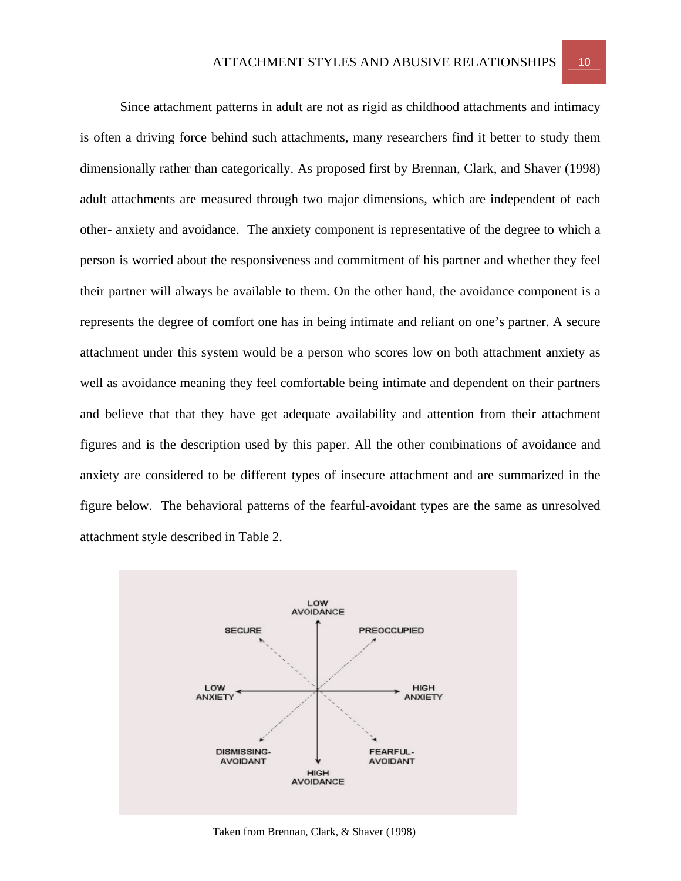Since attachment patterns in adult are not as rigid as childhood attachments and intimacy is often a driving force behind such attachments, many researchers find it better to study them dimensionally rather than categorically. As proposed first by Brennan, Clark, and Shaver (1998) adult attachments are measured through two major dimensions, which are independent of each other- anxiety and avoidance. The anxiety component is representative of the degree to which a person is worried about the responsiveness and commitment of his partner and whether they feel their partner will always be available to them. On the other hand, the avoidance component is a represents the degree of comfort one has in being intimate and reliant on one's partner. A secure attachment under this system would be a person who scores low on both attachment anxiety as well as avoidance meaning they feel comfortable being intimate and dependent on their partners and believe that that they have get adequate availability and attention from their attachment figures and is the description used by this paper. All the other combinations of avoidance and anxiety are considered to be different types of insecure attachment and are summarized in the figure below. The behavioral patterns of the fearful-avoidant types are the same as unresolved attachment style described in Table 2.



Taken from Brennan, Clark, & Shaver (1998)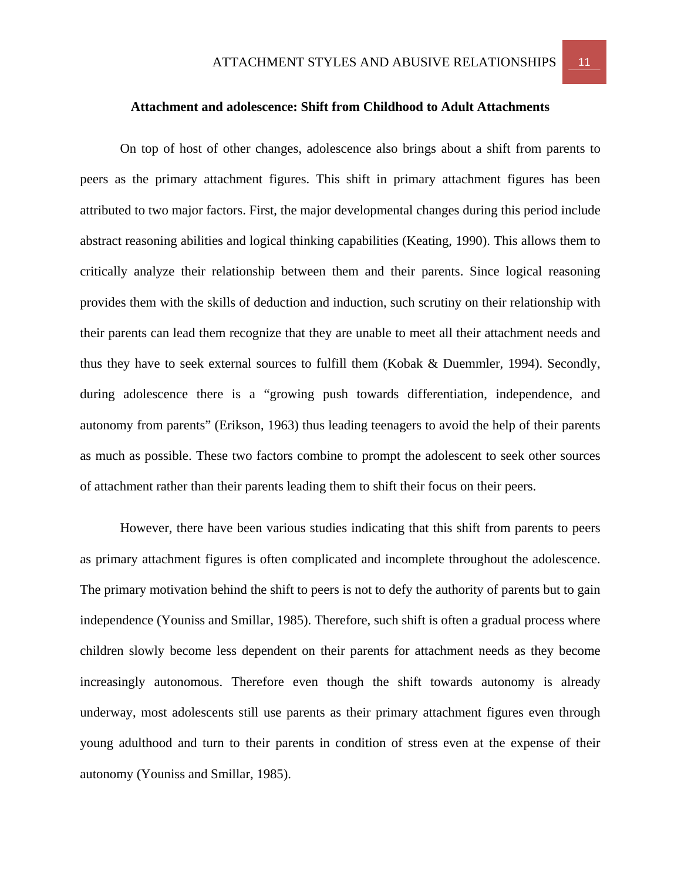#### **Attachment and adolescence: Shift from Childhood to Adult Attachments**

On top of host of other changes, adolescence also brings about a shift from parents to peers as the primary attachment figures. This shift in primary attachment figures has been attributed to two major factors. First, the major developmental changes during this period include abstract reasoning abilities and logical thinking capabilities (Keating, 1990). This allows them to critically analyze their relationship between them and their parents. Since logical reasoning provides them with the skills of deduction and induction, such scrutiny on their relationship with their parents can lead them recognize that they are unable to meet all their attachment needs and thus they have to seek external sources to fulfill them (Kobak & Duemmler, 1994). Secondly, during adolescence there is a "growing push towards differentiation, independence, and autonomy from parents" (Erikson, 1963) thus leading teenagers to avoid the help of their parents as much as possible. These two factors combine to prompt the adolescent to seek other sources of attachment rather than their parents leading them to shift their focus on their peers.

However, there have been various studies indicating that this shift from parents to peers as primary attachment figures is often complicated and incomplete throughout the adolescence. The primary motivation behind the shift to peers is not to defy the authority of parents but to gain independence (Youniss and Smillar, 1985). Therefore, such shift is often a gradual process where children slowly become less dependent on their parents for attachment needs as they become increasingly autonomous. Therefore even though the shift towards autonomy is already underway, most adolescents still use parents as their primary attachment figures even through young adulthood and turn to their parents in condition of stress even at the expense of their autonomy (Youniss and Smillar, 1985).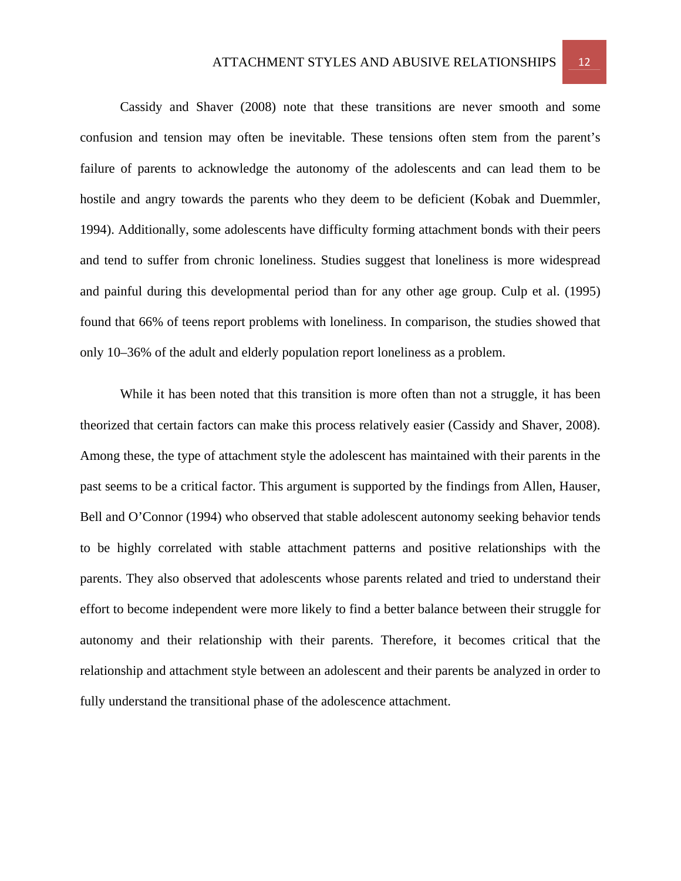# ATTACHMENT STYLES AND ABUSIVE RELATIONSHIPS 12

Cassidy and Shaver (2008) note that these transitions are never smooth and some confusion and tension may often be inevitable. These tensions often stem from the parent's failure of parents to acknowledge the autonomy of the adolescents and can lead them to be hostile and angry towards the parents who they deem to be deficient (Kobak and Duemmler, 1994). Additionally, some adolescents have difficulty forming attachment bonds with their peers and tend to suffer from chronic loneliness. Studies suggest that loneliness is more widespread and painful during this developmental period than for any other age group. Culp et al. (1995) found that 66% of teens report problems with loneliness. In comparison, the studies showed that only 10–36% of the adult and elderly population report loneliness as a problem.

While it has been noted that this transition is more often than not a struggle, it has been theorized that certain factors can make this process relatively easier (Cassidy and Shaver, 2008). Among these, the type of attachment style the adolescent has maintained with their parents in the past seems to be a critical factor. This argument is supported by the findings from Allen, Hauser, Bell and O'Connor (1994) who observed that stable adolescent autonomy seeking behavior tends to be highly correlated with stable attachment patterns and positive relationships with the parents. They also observed that adolescents whose parents related and tried to understand their effort to become independent were more likely to find a better balance between their struggle for autonomy and their relationship with their parents. Therefore, it becomes critical that the relationship and attachment style between an adolescent and their parents be analyzed in order to fully understand the transitional phase of the adolescence attachment.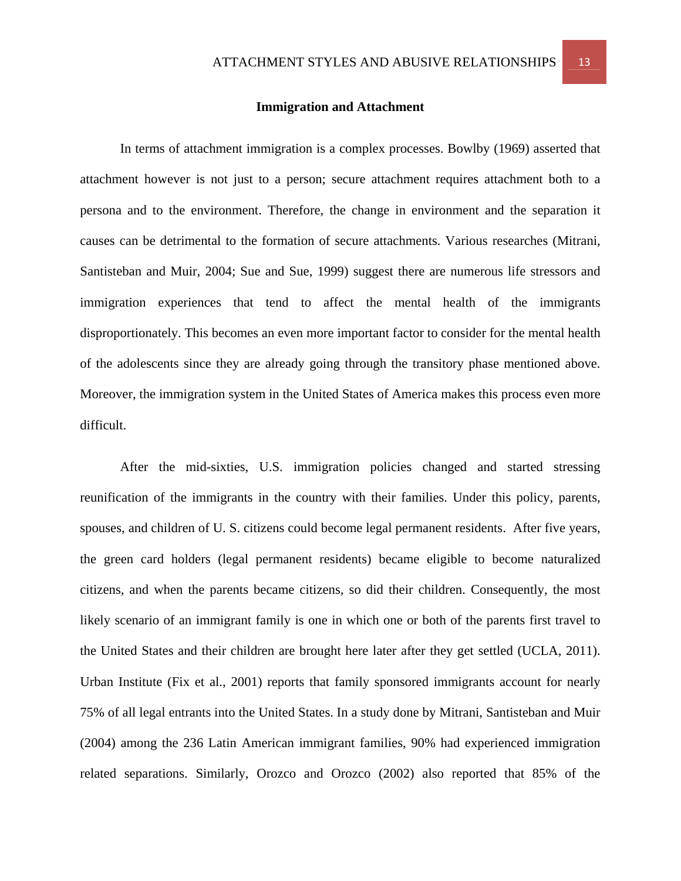#### **Immigration and Attachment**

In terms of attachment immigration is a complex processes. Bowlby (1969) asserted that attachment however is not just to a person; secure attachment requires attachment both to a persona and to the environment. Therefore, the change in environment and the separation it causes can be detrimental to the formation of secure attachments. Various researches (Mitrani, Santisteban and Muir, 2004; Sue and Sue, 1999) suggest there are numerous life stressors and immigration experiences that tend to affect the mental health of the immigrants disproportionately. This becomes an even more important factor to consider for the mental health of the adolescents since they are already going through the transitory phase mentioned above. Moreover, the immigration system in the United States of America makes this process even more difficult.

 After the mid-sixties, U.S. immigration policies changed and started stressing reunification of the immigrants in the country with their families. Under this policy, parents, spouses, and children of U. S. citizens could become legal permanent residents. After five years, the green card holders (legal permanent residents) became eligible to become naturalized citizens, and when the parents became citizens, so did their children. Consequently, the most likely scenario of an immigrant family is one in which one or both of the parents first travel to the United States and their children are brought here later after they get settled (UCLA, 2011). Urban Institute (Fix et al., 2001) reports that family sponsored immigrants account for nearly 75% of all legal entrants into the United States. In a study done by Mitrani, Santisteban and Muir (2004) among the 236 Latin American immigrant families, 90% had experienced immigration related separations. Similarly, Orozco and Orozco (2002) also reported that 85% of the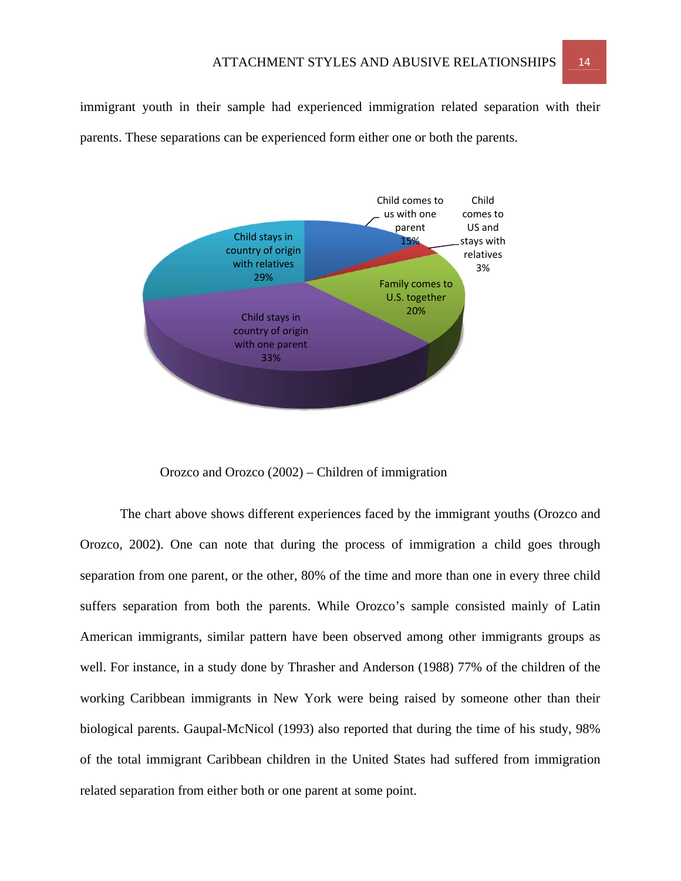immigrant youth in their sample had experienced immigration related separation with their parents. These separations can be experienced form either one or both the parents.



Orozco and Orozco (2002) – Children of immigration

The chart above shows different experiences faced by the immigrant youths (Orozco and Orozco, 2002). One can note that during the process of immigration a child goes through separation from one parent, or the other, 80% of the time and more than one in every three child suffers separation from both the parents. While Orozco's sample consisted mainly of Latin American immigrants, similar pattern have been observed among other immigrants groups as well. For instance, in a study done by Thrasher and Anderson (1988) 77% of the children of the working Caribbean immigrants in New York were being raised by someone other than their biological parents. Gaupal-McNicol (1993) also reported that during the time of his study, 98% of the total immigrant Caribbean children in the United States had suffered from immigration related separation from either both or one parent at some point.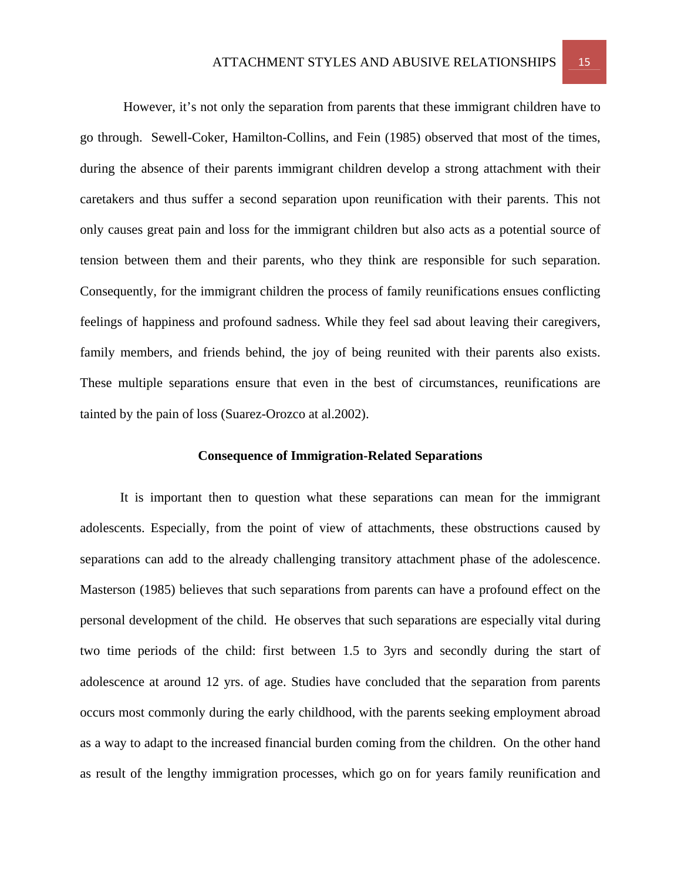However, it's not only the separation from parents that these immigrant children have to go through. Sewell-Coker, Hamilton-Collins, and Fein (1985) observed that most of the times, during the absence of their parents immigrant children develop a strong attachment with their caretakers and thus suffer a second separation upon reunification with their parents. This not only causes great pain and loss for the immigrant children but also acts as a potential source of tension between them and their parents, who they think are responsible for such separation. Consequently, for the immigrant children the process of family reunifications ensues conflicting feelings of happiness and profound sadness. While they feel sad about leaving their caregivers, family members, and friends behind, the joy of being reunited with their parents also exists. These multiple separations ensure that even in the best of circumstances, reunifications are tainted by the pain of loss (Suarez-Orozco at al.2002).

#### **Consequence of Immigration-Related Separations**

It is important then to question what these separations can mean for the immigrant adolescents. Especially, from the point of view of attachments, these obstructions caused by separations can add to the already challenging transitory attachment phase of the adolescence. Masterson (1985) believes that such separations from parents can have a profound effect on the personal development of the child. He observes that such separations are especially vital during two time periods of the child: first between 1.5 to 3yrs and secondly during the start of adolescence at around 12 yrs. of age. Studies have concluded that the separation from parents occurs most commonly during the early childhood, with the parents seeking employment abroad as a way to adapt to the increased financial burden coming from the children. On the other hand as result of the lengthy immigration processes, which go on for years family reunification and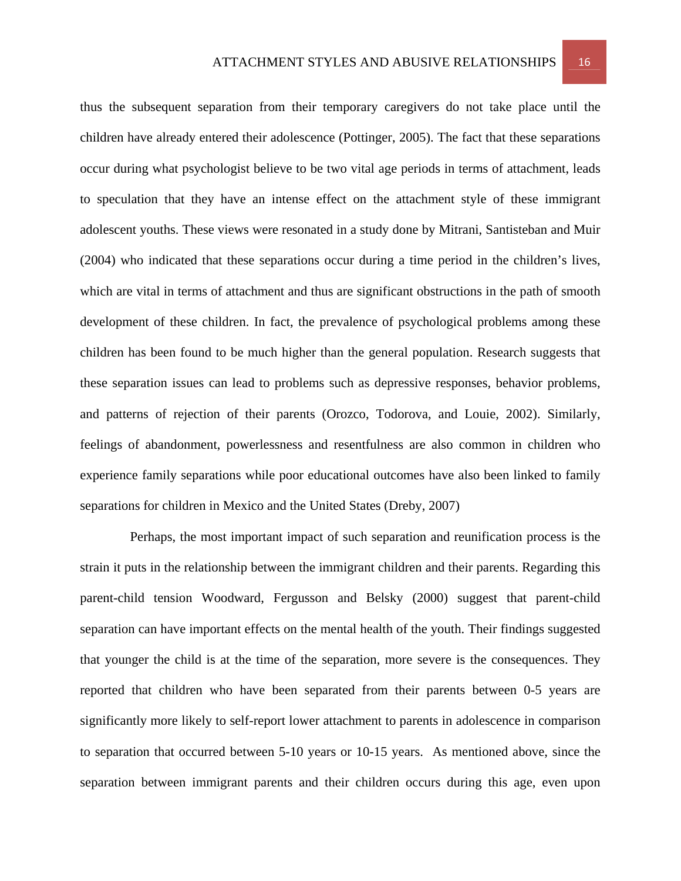thus the subsequent separation from their temporary caregivers do not take place until the children have already entered their adolescence (Pottinger, 2005). The fact that these separations occur during what psychologist believe to be two vital age periods in terms of attachment, leads to speculation that they have an intense effect on the attachment style of these immigrant adolescent youths. These views were resonated in a study done by Mitrani, Santisteban and Muir (2004) who indicated that these separations occur during a time period in the children's lives, which are vital in terms of attachment and thus are significant obstructions in the path of smooth development of these children. In fact, the prevalence of psychological problems among these children has been found to be much higher than the general population. Research suggests that these separation issues can lead to problems such as depressive responses, behavior problems, and patterns of rejection of their parents (Orozco, Todorova, and Louie, 2002). Similarly, feelings of abandonment, powerlessness and resentfulness are also common in children who experience family separations while poor educational outcomes have also been linked to family separations for children in Mexico and the United States (Dreby, 2007)

 Perhaps, the most important impact of such separation and reunification process is the strain it puts in the relationship between the immigrant children and their parents. Regarding this parent-child tension Woodward, Fergusson and Belsky (2000) suggest that parent-child separation can have important effects on the mental health of the youth. Their findings suggested that younger the child is at the time of the separation, more severe is the consequences. They reported that children who have been separated from their parents between 0-5 years are significantly more likely to self-report lower attachment to parents in adolescence in comparison to separation that occurred between 5-10 years or 10-15 years. As mentioned above, since the separation between immigrant parents and their children occurs during this age, even upon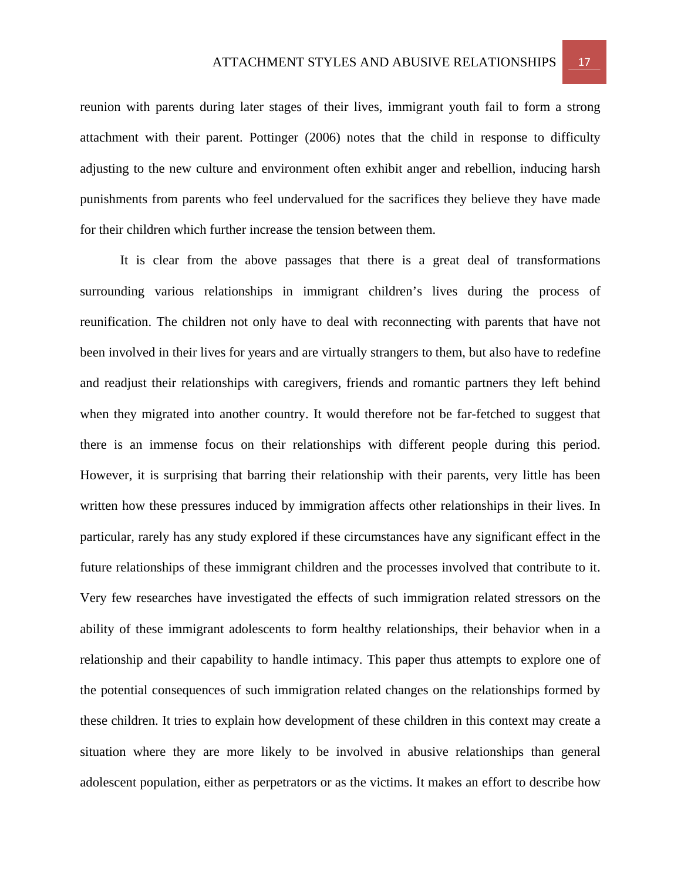reunion with parents during later stages of their lives, immigrant youth fail to form a strong attachment with their parent. Pottinger (2006) notes that the child in response to difficulty adjusting to the new culture and environment often exhibit anger and rebellion, inducing harsh punishments from parents who feel undervalued for the sacrifices they believe they have made for their children which further increase the tension between them.

It is clear from the above passages that there is a great deal of transformations surrounding various relationships in immigrant children's lives during the process of reunification. The children not only have to deal with reconnecting with parents that have not been involved in their lives for years and are virtually strangers to them, but also have to redefine and readjust their relationships with caregivers, friends and romantic partners they left behind when they migrated into another country. It would therefore not be far-fetched to suggest that there is an immense focus on their relationships with different people during this period. However, it is surprising that barring their relationship with their parents, very little has been written how these pressures induced by immigration affects other relationships in their lives. In particular, rarely has any study explored if these circumstances have any significant effect in the future relationships of these immigrant children and the processes involved that contribute to it. Very few researches have investigated the effects of such immigration related stressors on the ability of these immigrant adolescents to form healthy relationships, their behavior when in a relationship and their capability to handle intimacy. This paper thus attempts to explore one of the potential consequences of such immigration related changes on the relationships formed by these children. It tries to explain how development of these children in this context may create a situation where they are more likely to be involved in abusive relationships than general adolescent population, either as perpetrators or as the victims. It makes an effort to describe how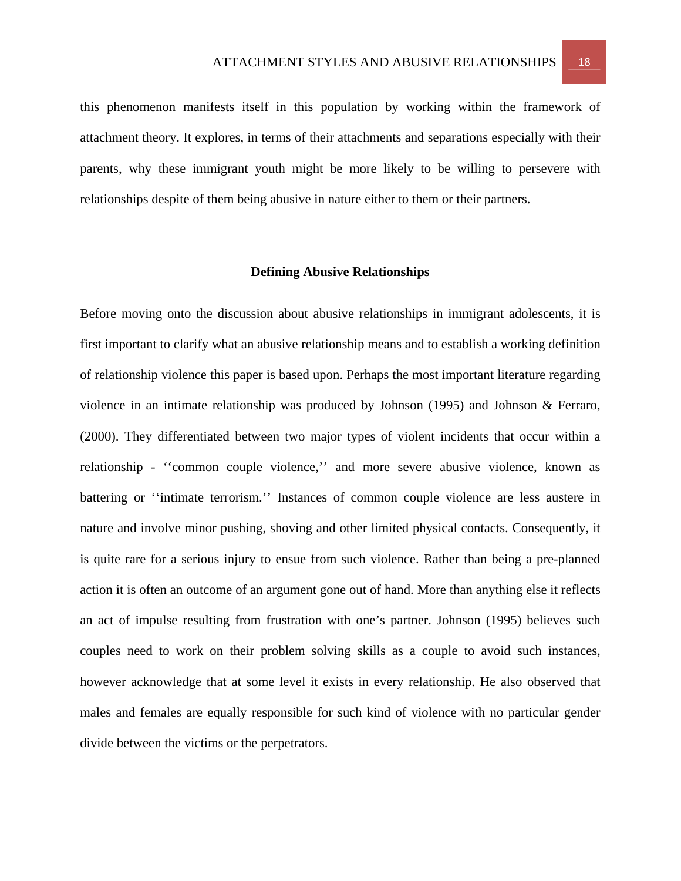this phenomenon manifests itself in this population by working within the framework of attachment theory. It explores, in terms of their attachments and separations especially with their parents, why these immigrant youth might be more likely to be willing to persevere with relationships despite of them being abusive in nature either to them or their partners.

#### **Defining Abusive Relationships**

Before moving onto the discussion about abusive relationships in immigrant adolescents, it is first important to clarify what an abusive relationship means and to establish a working definition of relationship violence this paper is based upon. Perhaps the most important literature regarding violence in an intimate relationship was produced by Johnson (1995) and Johnson & Ferraro, (2000). They differentiated between two major types of violent incidents that occur within a relationship - ''common couple violence,'' and more severe abusive violence, known as battering or ''intimate terrorism.'' Instances of common couple violence are less austere in nature and involve minor pushing, shoving and other limited physical contacts. Consequently, it is quite rare for a serious injury to ensue from such violence. Rather than being a pre-planned action it is often an outcome of an argument gone out of hand. More than anything else it reflects an act of impulse resulting from frustration with one's partner. Johnson (1995) believes such couples need to work on their problem solving skills as a couple to avoid such instances, however acknowledge that at some level it exists in every relationship. He also observed that males and females are equally responsible for such kind of violence with no particular gender divide between the victims or the perpetrators.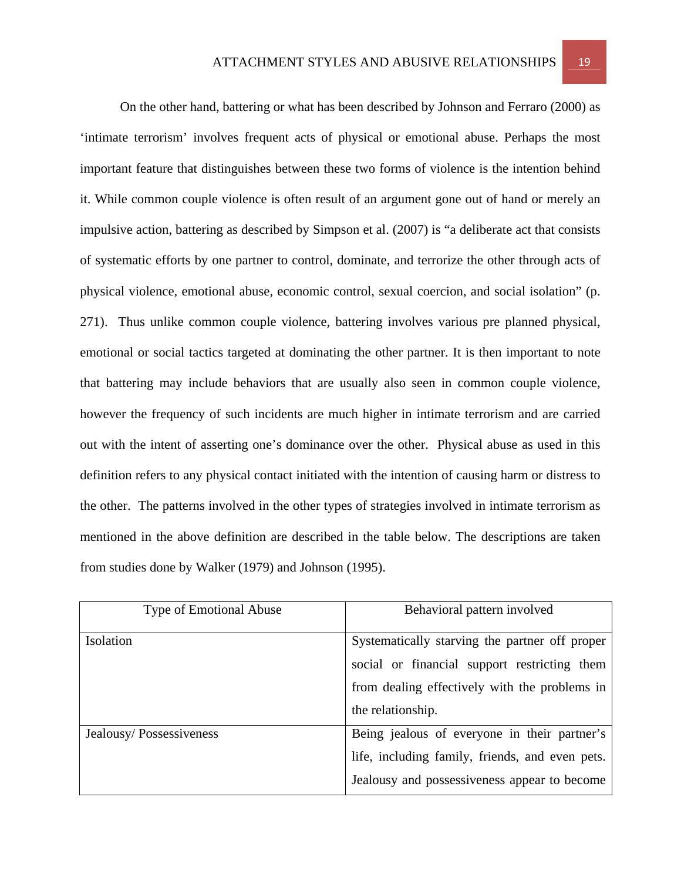On the other hand, battering or what has been described by Johnson and Ferraro (2000) as 'intimate terrorism' involves frequent acts of physical or emotional abuse. Perhaps the most important feature that distinguishes between these two forms of violence is the intention behind it. While common couple violence is often result of an argument gone out of hand or merely an impulsive action, battering as described by Simpson et al. (2007) is "a deliberate act that consists of systematic efforts by one partner to control, dominate, and terrorize the other through acts of physical violence, emotional abuse, economic control, sexual coercion, and social isolation" (p. 271). Thus unlike common couple violence, battering involves various pre planned physical, emotional or social tactics targeted at dominating the other partner. It is then important to note that battering may include behaviors that are usually also seen in common couple violence, however the frequency of such incidents are much higher in intimate terrorism and are carried out with the intent of asserting one's dominance over the other. Physical abuse as used in this definition refers to any physical contact initiated with the intention of causing harm or distress to the other. The patterns involved in the other types of strategies involved in intimate terrorism as mentioned in the above definition are described in the table below. The descriptions are taken from studies done by Walker (1979) and Johnson (1995).

| <b>Type of Emotional Abuse</b> | Behavioral pattern involved                     |
|--------------------------------|-------------------------------------------------|
| Isolation                      | Systematically starving the partner off proper  |
|                                | social or financial support restricting them    |
|                                | from dealing effectively with the problems in   |
|                                | the relationship.                               |
| Jealousy/Possessiveness        | Being jealous of everyone in their partner's    |
|                                | life, including family, friends, and even pets. |
|                                | Jealousy and possessiveness appear to become    |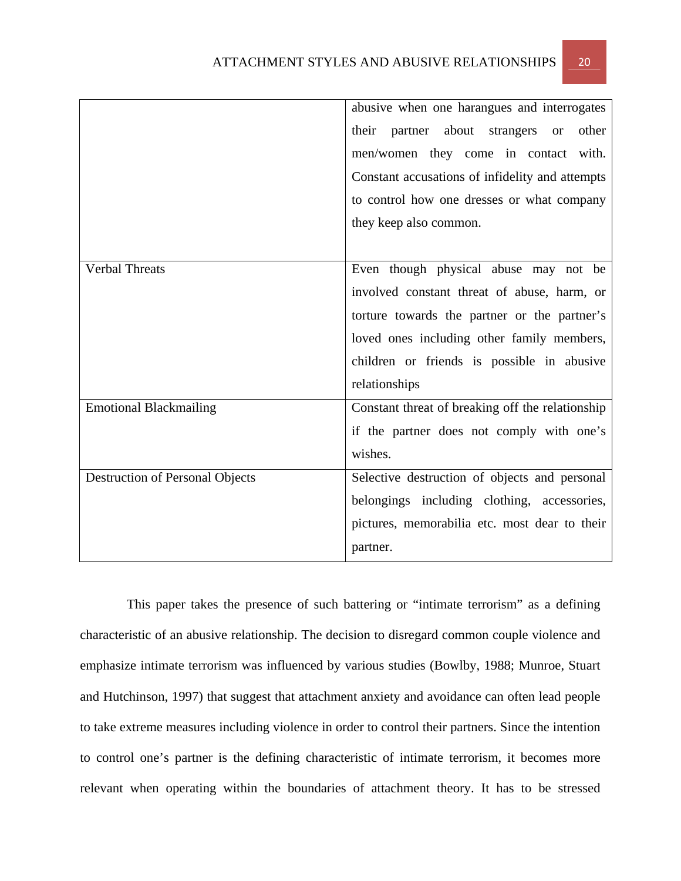|                                        | abusive when one harangues and interrogates               |  |  |  |
|----------------------------------------|-----------------------------------------------------------|--|--|--|
|                                        | partner about<br>other<br>their<br>strangers<br><b>or</b> |  |  |  |
|                                        | men/women they come in contact with.                      |  |  |  |
|                                        | Constant accusations of infidelity and attempts           |  |  |  |
|                                        | to control how one dresses or what company                |  |  |  |
|                                        | they keep also common.                                    |  |  |  |
|                                        |                                                           |  |  |  |
| <b>Verbal Threats</b>                  | Even though physical abuse may not be                     |  |  |  |
|                                        | involved constant threat of abuse, harm, or               |  |  |  |
|                                        | torture towards the partner or the partner's              |  |  |  |
|                                        | loved ones including other family members,                |  |  |  |
|                                        | children or friends is possible in abusive                |  |  |  |
|                                        | relationships                                             |  |  |  |
| <b>Emotional Blackmailing</b>          | Constant threat of breaking off the relationship          |  |  |  |
|                                        | if the partner does not comply with one's                 |  |  |  |
|                                        | wishes.                                                   |  |  |  |
| <b>Destruction of Personal Objects</b> | Selective destruction of objects and personal             |  |  |  |
|                                        | belongings including clothing, accessories,               |  |  |  |
|                                        | pictures, memorabilia etc. most dear to their             |  |  |  |
|                                        | partner.                                                  |  |  |  |

 This paper takes the presence of such battering or "intimate terrorism" as a defining characteristic of an abusive relationship. The decision to disregard common couple violence and emphasize intimate terrorism was influenced by various studies (Bowlby, 1988; Munroe, Stuart and Hutchinson, 1997) that suggest that attachment anxiety and avoidance can often lead people to take extreme measures including violence in order to control their partners. Since the intention to control one's partner is the defining characteristic of intimate terrorism, it becomes more relevant when operating within the boundaries of attachment theory. It has to be stressed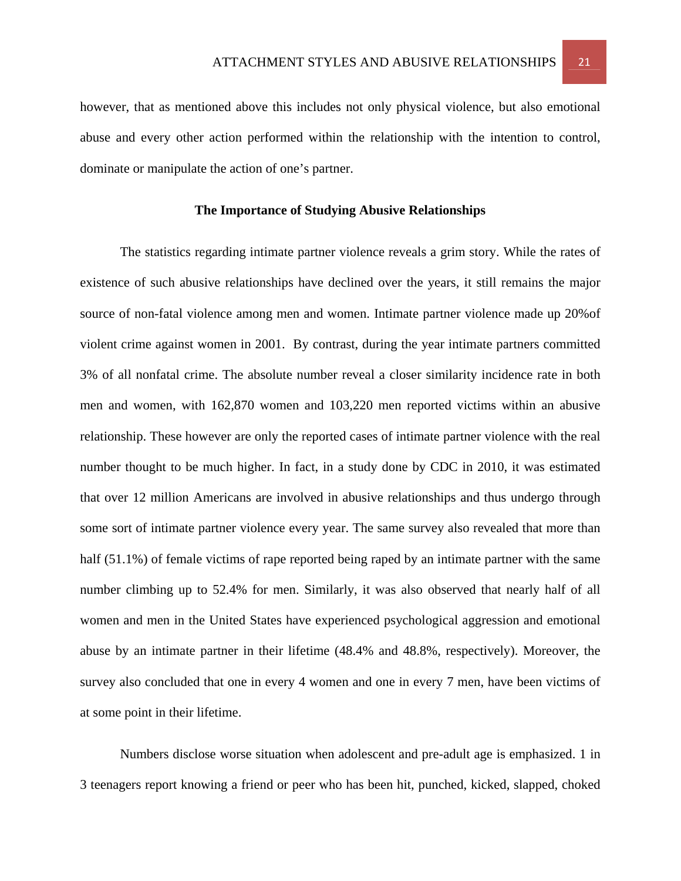however, that as mentioned above this includes not only physical violence, but also emotional abuse and every other action performed within the relationship with the intention to control, dominate or manipulate the action of one's partner.

## **The Importance of Studying Abusive Relationships**

The statistics regarding intimate partner violence reveals a grim story. While the rates of existence of such abusive relationships have declined over the years, it still remains the major source of non-fatal violence among men and women. Intimate partner violence made up 20%of violent crime against women in 2001. By contrast, during the year intimate partners committed 3% of all nonfatal crime. The absolute number reveal a closer similarity incidence rate in both men and women, with 162,870 women and 103,220 men reported victims within an abusive relationship. These however are only the reported cases of intimate partner violence with the real number thought to be much higher. In fact, in a study done by CDC in 2010, it was estimated that over 12 million Americans are involved in abusive relationships and thus undergo through some sort of intimate partner violence every year. The same survey also revealed that more than half (51.1%) of female victims of rape reported being raped by an intimate partner with the same number climbing up to 52.4% for men. Similarly, it was also observed that nearly half of all women and men in the United States have experienced psychological aggression and emotional abuse by an intimate partner in their lifetime (48.4% and 48.8%, respectively). Moreover, the survey also concluded that one in every 4 women and one in every 7 men, have been victims of at some point in their lifetime.

 Numbers disclose worse situation when adolescent and pre-adult age is emphasized. 1 in 3 teenagers report knowing a friend or peer who has been hit, punched, kicked, slapped, choked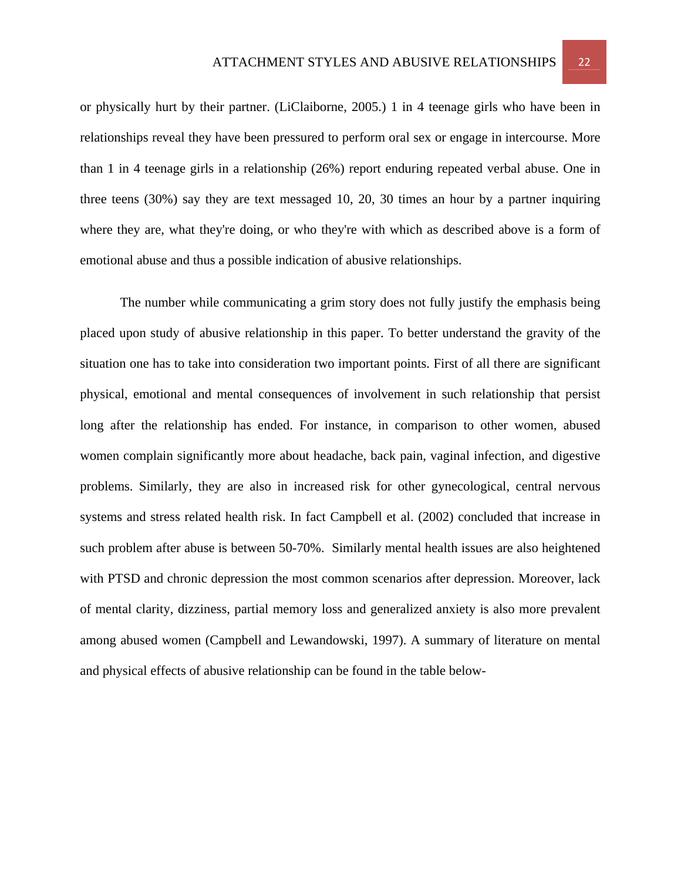or physically hurt by their partner. (LiClaiborne, 2005.) 1 in 4 teenage girls who have been in relationships reveal they have been pressured to perform oral sex or engage in intercourse. More than 1 in 4 teenage girls in a relationship (26%) report enduring repeated verbal abuse. One in three teens (30%) say they are text messaged 10, 20, 30 times an hour by a partner inquiring where they are, what they're doing, or who they're with which as described above is a form of emotional abuse and thus a possible indication of abusive relationships.

 The number while communicating a grim story does not fully justify the emphasis being placed upon study of abusive relationship in this paper. To better understand the gravity of the situation one has to take into consideration two important points. First of all there are significant physical, emotional and mental consequences of involvement in such relationship that persist long after the relationship has ended. For instance, in comparison to other women, abused women complain significantly more about headache, back pain, vaginal infection, and digestive problems. Similarly, they are also in increased risk for other gynecological, central nervous systems and stress related health risk. In fact Campbell et al. (2002) concluded that increase in such problem after abuse is between 50-70%. Similarly mental health issues are also heightened with PTSD and chronic depression the most common scenarios after depression. Moreover, lack of mental clarity, dizziness, partial memory loss and generalized anxiety is also more prevalent among abused women (Campbell and Lewandowski, 1997). A summary of literature on mental and physical effects of abusive relationship can be found in the table below-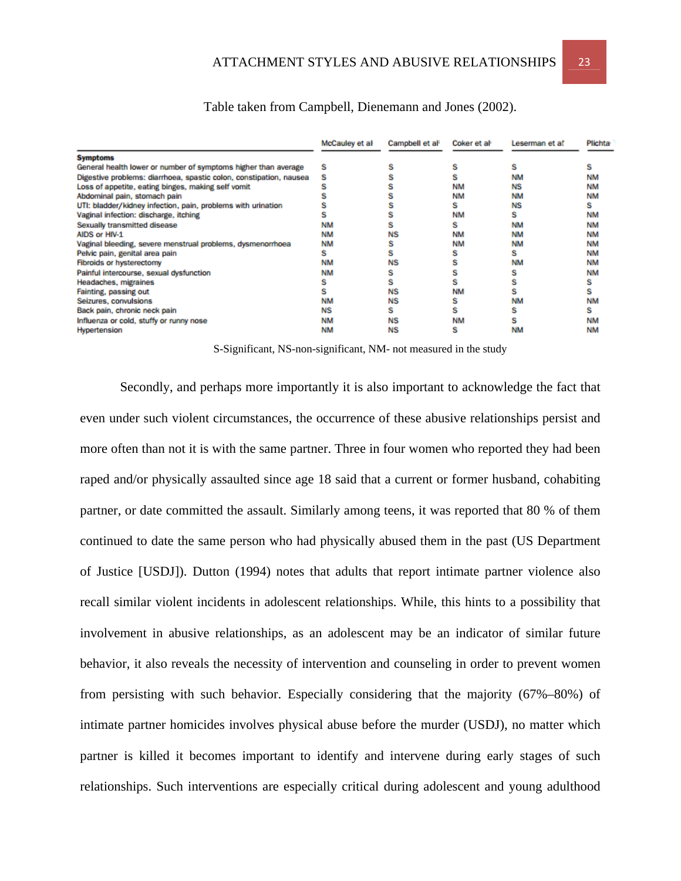|                                                                    | McCauley et al- | Campbell et al <sup>:</sup> | Coker et al- | Leserman et al | <b>Plichta</b> |
|--------------------------------------------------------------------|-----------------|-----------------------------|--------------|----------------|----------------|
| <b>Symptoms</b>                                                    |                 |                             |              |                |                |
| General health lower or number of symptoms higher than average     | s               |                             |              |                |                |
| Digestive problems: diarrhoea, spastic colon, constipation, nausea |                 |                             |              | <b>NM</b>      | <b>NM</b>      |
| Loss of appetite, eating binges, making self vomit                 |                 |                             | <b>NM</b>    | <b>NS</b>      | <b>NM</b>      |
| Abdominal pain, stomach pain                                       |                 |                             | <b>NM</b>    | <b>NM</b>      | <b>NM</b>      |
| UTI: bladder/kidney infection, pain, problems with urination       |                 |                             |              | <b>NS</b>      | s              |
| Vaginal infection: discharge, itching                              |                 |                             | <b>NM</b>    |                | <b>NM</b>      |
| Sexually transmitted disease                                       | <b>NM</b>       |                             |              | <b>NM</b>      | <b>NM</b>      |
| AIDS or HIV-1                                                      | <b>NM</b>       | ΝS                          | <b>NM</b>    | <b>NM</b>      | <b>NM</b>      |
| Vaginal bleeding, severe menstrual problems, dysmenorrhoea         | <b>NM</b>       |                             | <b>NM</b>    | <b>NM</b>      | <b>NM</b>      |
| Pelvic pain, genital area pain                                     | s               |                             |              |                | <b>NM</b>      |
| <b>Fibroids or hysterectomy</b>                                    | <b>NM</b>       | NS                          |              | <b>NM</b>      | <b>NM</b>      |
| Painful intercourse, sexual dysfunction                            | <b>NM</b>       |                             |              |                | <b>NM</b>      |
| Headaches, migraines                                               |                 |                             |              |                |                |
| Fainting, passing out                                              |                 | NS                          | <b>NM</b>    |                |                |
| Seizures, convulsions                                              | <b>NM</b>       | NS                          |              | <b>NM</b>      | <b>NM</b>      |
| Back pain, chronic neck pain                                       | <b>NS</b>       | s                           |              |                | s              |
| Influenza or cold, stuffy or runny nose                            | <b>NM</b>       | ΝS                          | <b>NM</b>    |                | <b>NM</b>      |
| Hypertension                                                       | <b>NM</b>       | NS                          |              | NM             | <b>NM</b>      |

# Table taken from Campbell, Dienemann and Jones (2002).

S-Significant, NS-non-significant, NM- not measured in the study

Secondly, and perhaps more importantly it is also important to acknowledge the fact that even under such violent circumstances, the occurrence of these abusive relationships persist and more often than not it is with the same partner. Three in four women who reported they had been raped and/or physically assaulted since age 18 said that a current or former husband, cohabiting partner, or date committed the assault. Similarly among teens, it was reported that 80 % of them continued to date the same person who had physically abused them in the past (US Department of Justice [USDJ]). Dutton (1994) notes that adults that report intimate partner violence also recall similar violent incidents in adolescent relationships. While, this hints to a possibility that involvement in abusive relationships, as an adolescent may be an indicator of similar future behavior, it also reveals the necessity of intervention and counseling in order to prevent women from persisting with such behavior. Especially considering that the majority (67%–80%) of intimate partner homicides involves physical abuse before the murder (USDJ), no matter which partner is killed it becomes important to identify and intervene during early stages of such relationships. Such interventions are especially critical during adolescent and young adulthood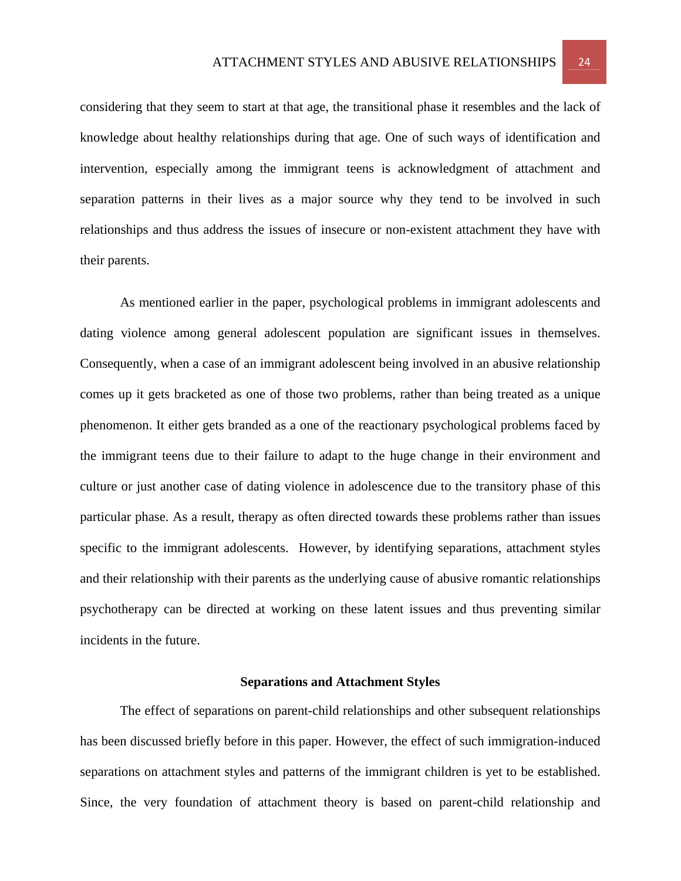considering that they seem to start at that age, the transitional phase it resembles and the lack of knowledge about healthy relationships during that age. One of such ways of identification and intervention, especially among the immigrant teens is acknowledgment of attachment and separation patterns in their lives as a major source why they tend to be involved in such relationships and thus address the issues of insecure or non-existent attachment they have with their parents.

As mentioned earlier in the paper, psychological problems in immigrant adolescents and dating violence among general adolescent population are significant issues in themselves. Consequently, when a case of an immigrant adolescent being involved in an abusive relationship comes up it gets bracketed as one of those two problems, rather than being treated as a unique phenomenon. It either gets branded as a one of the reactionary psychological problems faced by the immigrant teens due to their failure to adapt to the huge change in their environment and culture or just another case of dating violence in adolescence due to the transitory phase of this particular phase. As a result, therapy as often directed towards these problems rather than issues specific to the immigrant adolescents. However, by identifying separations, attachment styles and their relationship with their parents as the underlying cause of abusive romantic relationships psychotherapy can be directed at working on these latent issues and thus preventing similar incidents in the future.

#### **Separations and Attachment Styles**

 The effect of separations on parent-child relationships and other subsequent relationships has been discussed briefly before in this paper. However, the effect of such immigration-induced separations on attachment styles and patterns of the immigrant children is yet to be established. Since, the very foundation of attachment theory is based on parent-child relationship and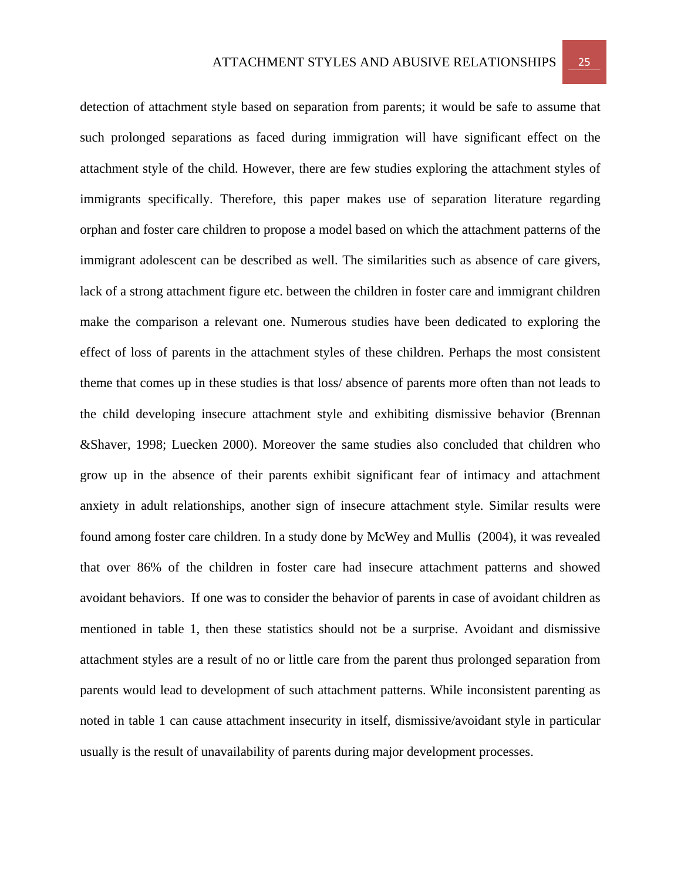detection of attachment style based on separation from parents; it would be safe to assume that such prolonged separations as faced during immigration will have significant effect on the attachment style of the child. However, there are few studies exploring the attachment styles of immigrants specifically. Therefore, this paper makes use of separation literature regarding orphan and foster care children to propose a model based on which the attachment patterns of the immigrant adolescent can be described as well. The similarities such as absence of care givers, lack of a strong attachment figure etc. between the children in foster care and immigrant children make the comparison a relevant one. Numerous studies have been dedicated to exploring the effect of loss of parents in the attachment styles of these children. Perhaps the most consistent theme that comes up in these studies is that loss/ absence of parents more often than not leads to the child developing insecure attachment style and exhibiting dismissive behavior (Brennan &Shaver, 1998; Luecken 2000). Moreover the same studies also concluded that children who grow up in the absence of their parents exhibit significant fear of intimacy and attachment anxiety in adult relationships, another sign of insecure attachment style. Similar results were found among foster care children. In a study done by McWey and Mullis (2004), it was revealed that over 86% of the children in foster care had insecure attachment patterns and showed avoidant behaviors. If one was to consider the behavior of parents in case of avoidant children as mentioned in table 1, then these statistics should not be a surprise. Avoidant and dismissive attachment styles are a result of no or little care from the parent thus prolonged separation from parents would lead to development of such attachment patterns. While inconsistent parenting as noted in table 1 can cause attachment insecurity in itself, dismissive/avoidant style in particular usually is the result of unavailability of parents during major development processes.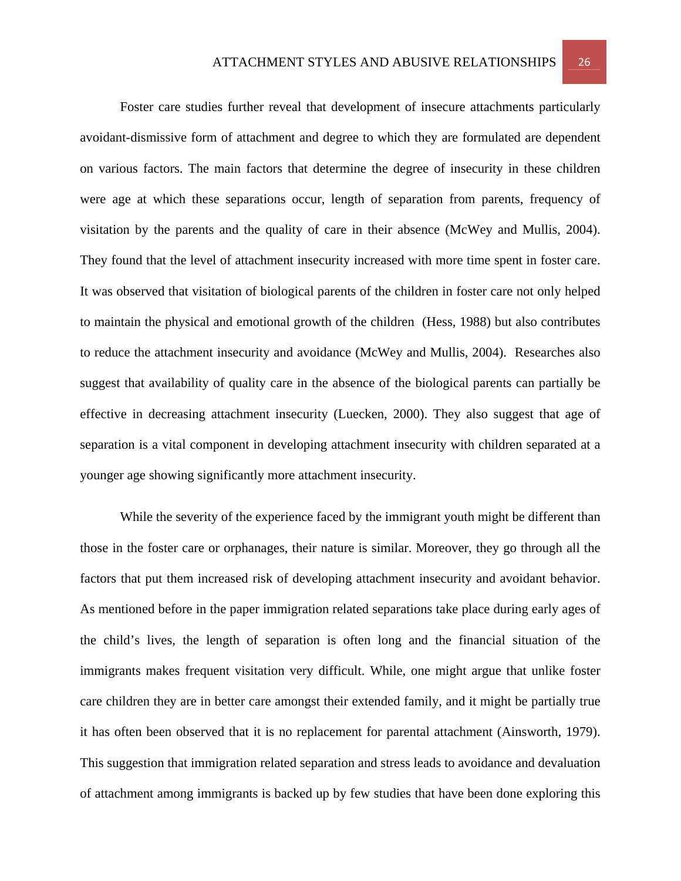Foster care studies further reveal that development of insecure attachments particularly avoidant-dismissive form of attachment and degree to which they are formulated are dependent on various factors. The main factors that determine the degree of insecurity in these children were age at which these separations occur, length of separation from parents, frequency of visitation by the parents and the quality of care in their absence (McWey and Mullis, 2004). They found that the level of attachment insecurity increased with more time spent in foster care. It was observed that visitation of biological parents of the children in foster care not only helped to maintain the physical and emotional growth of the children (Hess, 1988) but also contributes to reduce the attachment insecurity and avoidance (McWey and Mullis, 2004). Researches also suggest that availability of quality care in the absence of the biological parents can partially be effective in decreasing attachment insecurity (Luecken, 2000). They also suggest that age of separation is a vital component in developing attachment insecurity with children separated at a younger age showing significantly more attachment insecurity.

 While the severity of the experience faced by the immigrant youth might be different than those in the foster care or orphanages, their nature is similar. Moreover, they go through all the factors that put them increased risk of developing attachment insecurity and avoidant behavior. As mentioned before in the paper immigration related separations take place during early ages of the child's lives, the length of separation is often long and the financial situation of the immigrants makes frequent visitation very difficult. While, one might argue that unlike foster care children they are in better care amongst their extended family, and it might be partially true it has often been observed that it is no replacement for parental attachment (Ainsworth, 1979). This suggestion that immigration related separation and stress leads to avoidance and devaluation of attachment among immigrants is backed up by few studies that have been done exploring this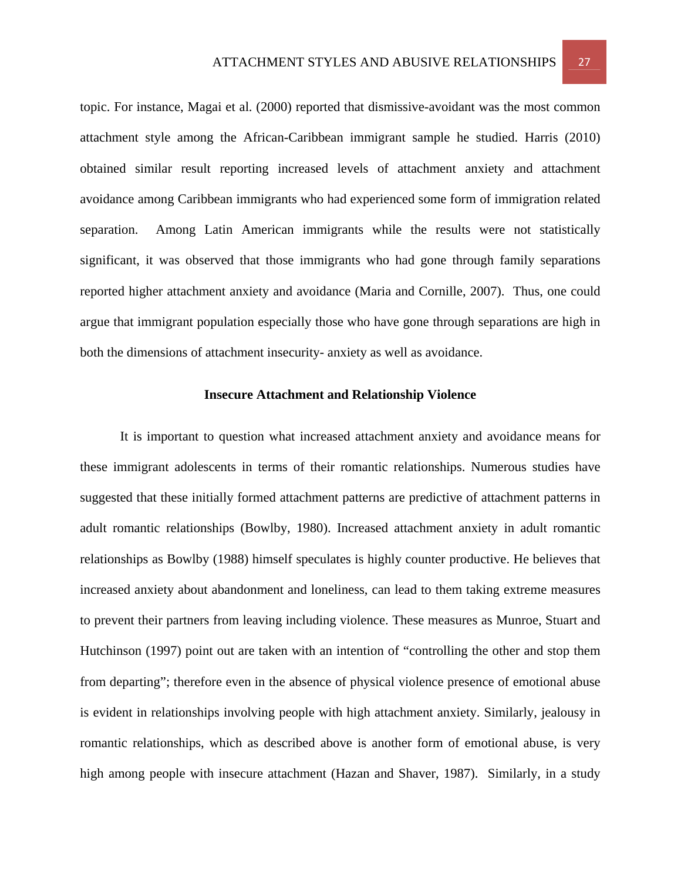topic. For instance, Magai et al. (2000) reported that dismissive-avoidant was the most common attachment style among the African-Caribbean immigrant sample he studied. Harris (2010) obtained similar result reporting increased levels of attachment anxiety and attachment avoidance among Caribbean immigrants who had experienced some form of immigration related separation. Among Latin American immigrants while the results were not statistically significant, it was observed that those immigrants who had gone through family separations reported higher attachment anxiety and avoidance (Maria and Cornille, 2007). Thus, one could argue that immigrant population especially those who have gone through separations are high in both the dimensions of attachment insecurity- anxiety as well as avoidance.

# **Insecure Attachment and Relationship Violence**

 It is important to question what increased attachment anxiety and avoidance means for these immigrant adolescents in terms of their romantic relationships. Numerous studies have suggested that these initially formed attachment patterns are predictive of attachment patterns in adult romantic relationships (Bowlby, 1980). Increased attachment anxiety in adult romantic relationships as Bowlby (1988) himself speculates is highly counter productive. He believes that increased anxiety about abandonment and loneliness, can lead to them taking extreme measures to prevent their partners from leaving including violence. These measures as Munroe, Stuart and Hutchinson (1997) point out are taken with an intention of "controlling the other and stop them from departing"; therefore even in the absence of physical violence presence of emotional abuse is evident in relationships involving people with high attachment anxiety. Similarly, jealousy in romantic relationships, which as described above is another form of emotional abuse, is very high among people with insecure attachment (Hazan and Shaver, 1987). Similarly, in a study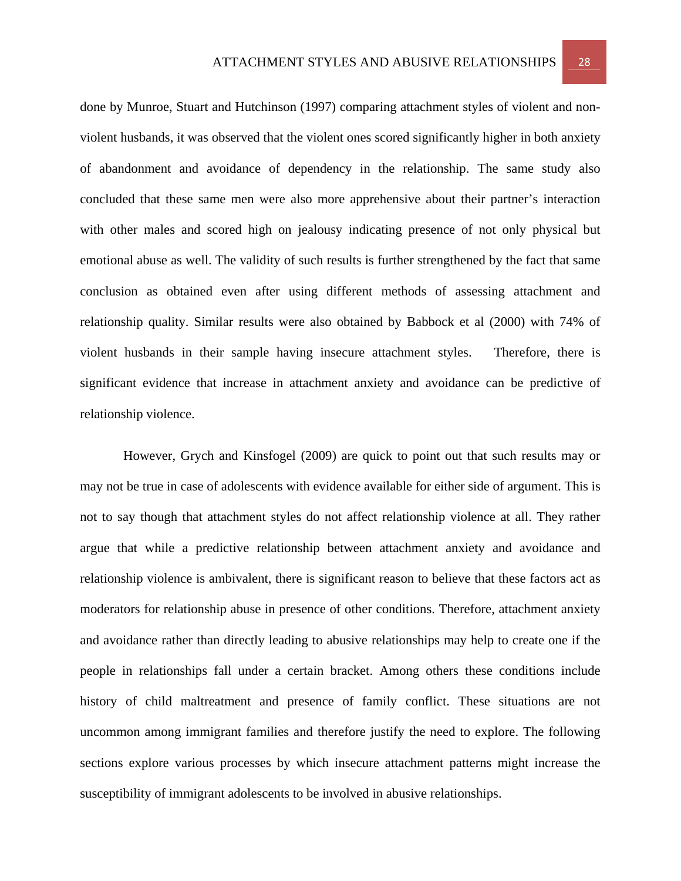done by Munroe, Stuart and Hutchinson (1997) comparing attachment styles of violent and nonviolent husbands, it was observed that the violent ones scored significantly higher in both anxiety of abandonment and avoidance of dependency in the relationship. The same study also concluded that these same men were also more apprehensive about their partner's interaction with other males and scored high on jealousy indicating presence of not only physical but emotional abuse as well. The validity of such results is further strengthened by the fact that same conclusion as obtained even after using different methods of assessing attachment and relationship quality. Similar results were also obtained by Babbock et al (2000) with 74% of violent husbands in their sample having insecure attachment styles. Therefore, there is significant evidence that increase in attachment anxiety and avoidance can be predictive of relationship violence.

 However, Grych and Kinsfogel (2009) are quick to point out that such results may or may not be true in case of adolescents with evidence available for either side of argument. This is not to say though that attachment styles do not affect relationship violence at all. They rather argue that while a predictive relationship between attachment anxiety and avoidance and relationship violence is ambivalent, there is significant reason to believe that these factors act as moderators for relationship abuse in presence of other conditions. Therefore, attachment anxiety and avoidance rather than directly leading to abusive relationships may help to create one if the people in relationships fall under a certain bracket. Among others these conditions include history of child maltreatment and presence of family conflict. These situations are not uncommon among immigrant families and therefore justify the need to explore. The following sections explore various processes by which insecure attachment patterns might increase the susceptibility of immigrant adolescents to be involved in abusive relationships.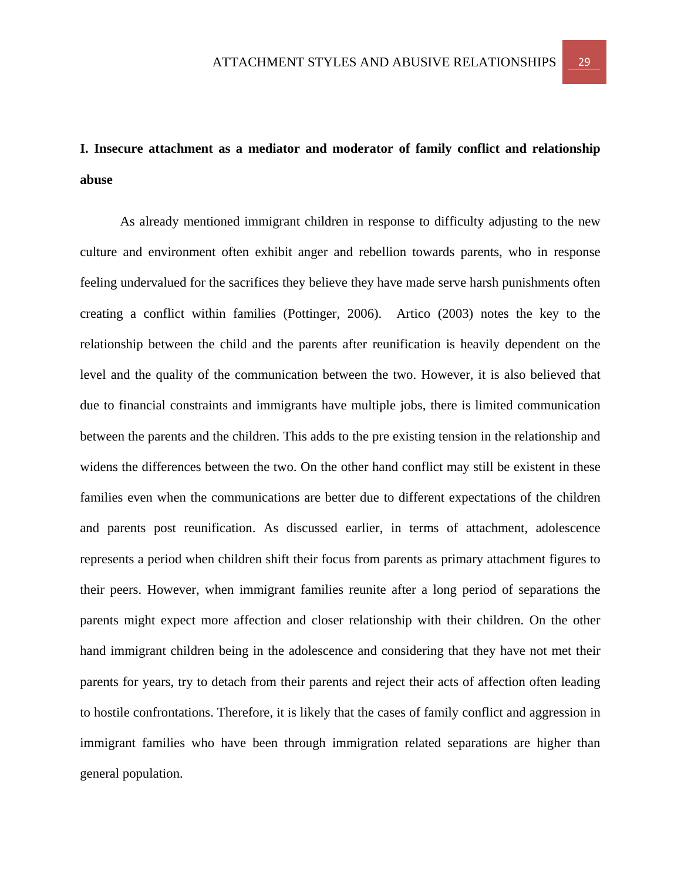# **I. Insecure attachment as a mediator and moderator of family conflict and relationship abuse**

As already mentioned immigrant children in response to difficulty adjusting to the new culture and environment often exhibit anger and rebellion towards parents, who in response feeling undervalued for the sacrifices they believe they have made serve harsh punishments often creating a conflict within families (Pottinger, 2006). Artico (2003) notes the key to the relationship between the child and the parents after reunification is heavily dependent on the level and the quality of the communication between the two. However, it is also believed that due to financial constraints and immigrants have multiple jobs, there is limited communication between the parents and the children. This adds to the pre existing tension in the relationship and widens the differences between the two. On the other hand conflict may still be existent in these families even when the communications are better due to different expectations of the children and parents post reunification. As discussed earlier, in terms of attachment, adolescence represents a period when children shift their focus from parents as primary attachment figures to their peers. However, when immigrant families reunite after a long period of separations the parents might expect more affection and closer relationship with their children. On the other hand immigrant children being in the adolescence and considering that they have not met their parents for years, try to detach from their parents and reject their acts of affection often leading to hostile confrontations. Therefore, it is likely that the cases of family conflict and aggression in immigrant families who have been through immigration related separations are higher than general population.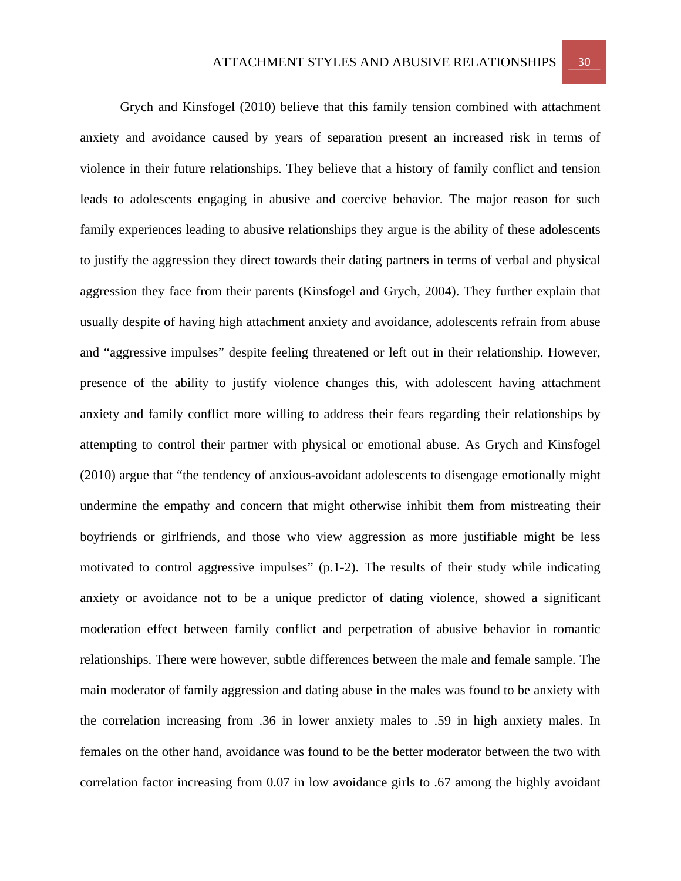Grych and Kinsfogel (2010) believe that this family tension combined with attachment anxiety and avoidance caused by years of separation present an increased risk in terms of violence in their future relationships. They believe that a history of family conflict and tension leads to adolescents engaging in abusive and coercive behavior. The major reason for such family experiences leading to abusive relationships they argue is the ability of these adolescents to justify the aggression they direct towards their dating partners in terms of verbal and physical aggression they face from their parents (Kinsfogel and Grych, 2004). They further explain that usually despite of having high attachment anxiety and avoidance, adolescents refrain from abuse and "aggressive impulses" despite feeling threatened or left out in their relationship. However, presence of the ability to justify violence changes this, with adolescent having attachment anxiety and family conflict more willing to address their fears regarding their relationships by attempting to control their partner with physical or emotional abuse. As Grych and Kinsfogel (2010) argue that "the tendency of anxious-avoidant adolescents to disengage emotionally might undermine the empathy and concern that might otherwise inhibit them from mistreating their boyfriends or girlfriends, and those who view aggression as more justifiable might be less motivated to control aggressive impulses"  $(p, 1-2)$ . The results of their study while indicating anxiety or avoidance not to be a unique predictor of dating violence, showed a significant moderation effect between family conflict and perpetration of abusive behavior in romantic relationships. There were however, subtle differences between the male and female sample. The main moderator of family aggression and dating abuse in the males was found to be anxiety with the correlation increasing from .36 in lower anxiety males to .59 in high anxiety males. In females on the other hand, avoidance was found to be the better moderator between the two with correlation factor increasing from 0.07 in low avoidance girls to .67 among the highly avoidant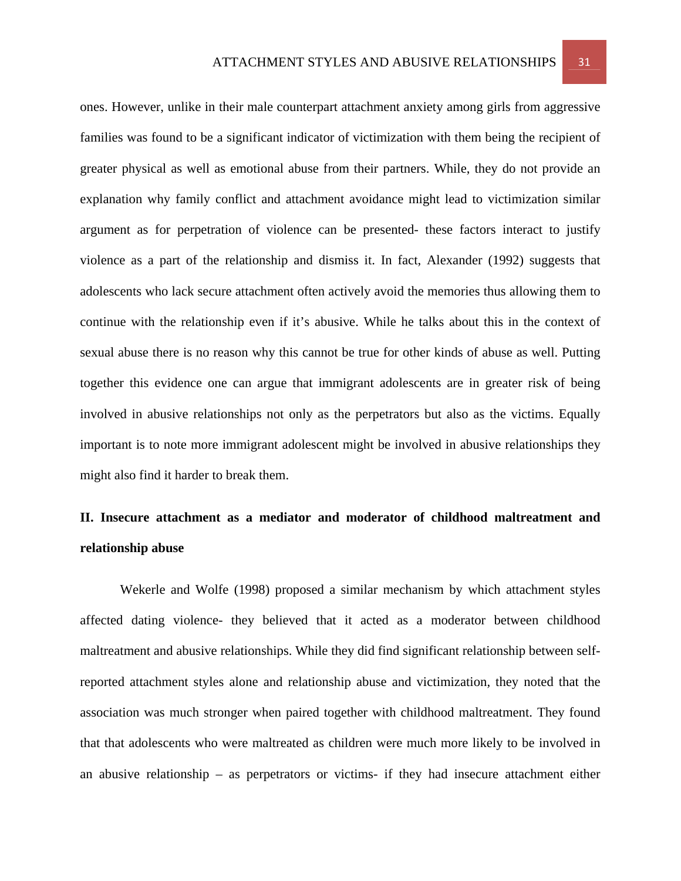ones. However, unlike in their male counterpart attachment anxiety among girls from aggressive families was found to be a significant indicator of victimization with them being the recipient of greater physical as well as emotional abuse from their partners. While, they do not provide an explanation why family conflict and attachment avoidance might lead to victimization similar argument as for perpetration of violence can be presented- these factors interact to justify violence as a part of the relationship and dismiss it. In fact, Alexander (1992) suggests that adolescents who lack secure attachment often actively avoid the memories thus allowing them to continue with the relationship even if it's abusive. While he talks about this in the context of sexual abuse there is no reason why this cannot be true for other kinds of abuse as well. Putting together this evidence one can argue that immigrant adolescents are in greater risk of being involved in abusive relationships not only as the perpetrators but also as the victims. Equally important is to note more immigrant adolescent might be involved in abusive relationships they might also find it harder to break them.

# **II. Insecure attachment as a mediator and moderator of childhood maltreatment and relationship abuse**

Wekerle and Wolfe (1998) proposed a similar mechanism by which attachment styles affected dating violence- they believed that it acted as a moderator between childhood maltreatment and abusive relationships. While they did find significant relationship between selfreported attachment styles alone and relationship abuse and victimization, they noted that the association was much stronger when paired together with childhood maltreatment. They found that that adolescents who were maltreated as children were much more likely to be involved in an abusive relationship – as perpetrators or victims- if they had insecure attachment either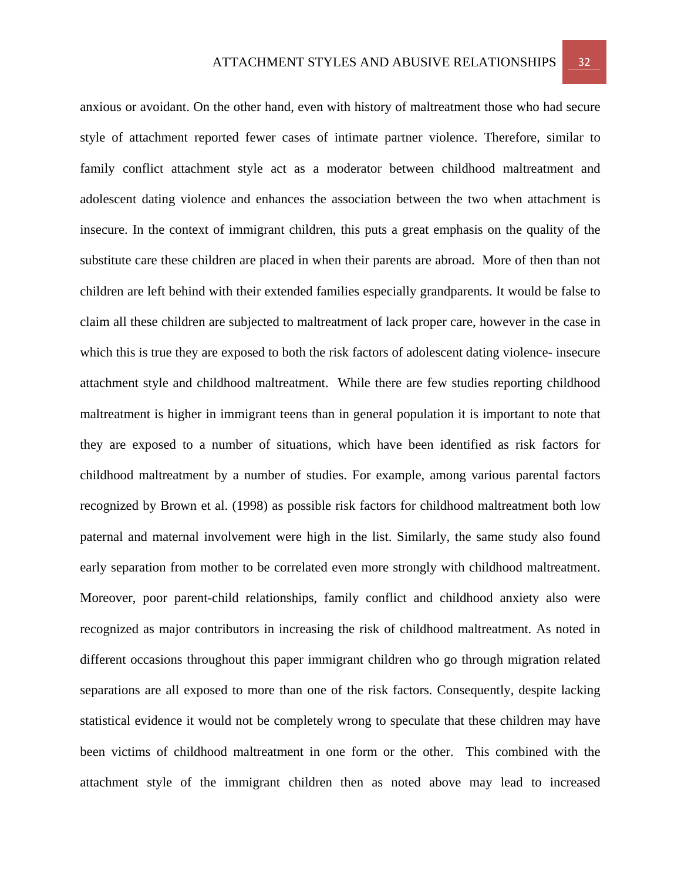anxious or avoidant. On the other hand, even with history of maltreatment those who had secure style of attachment reported fewer cases of intimate partner violence. Therefore, similar to family conflict attachment style act as a moderator between childhood maltreatment and adolescent dating violence and enhances the association between the two when attachment is insecure. In the context of immigrant children, this puts a great emphasis on the quality of the substitute care these children are placed in when their parents are abroad. More of then than not children are left behind with their extended families especially grandparents. It would be false to claim all these children are subjected to maltreatment of lack proper care, however in the case in which this is true they are exposed to both the risk factors of adolescent dating violence- insecure attachment style and childhood maltreatment. While there are few studies reporting childhood maltreatment is higher in immigrant teens than in general population it is important to note that they are exposed to a number of situations, which have been identified as risk factors for childhood maltreatment by a number of studies. For example, among various parental factors recognized by Brown et al. (1998) as possible risk factors for childhood maltreatment both low paternal and maternal involvement were high in the list. Similarly, the same study also found early separation from mother to be correlated even more strongly with childhood maltreatment. Moreover, poor parent-child relationships, family conflict and childhood anxiety also were recognized as major contributors in increasing the risk of childhood maltreatment. As noted in different occasions throughout this paper immigrant children who go through migration related separations are all exposed to more than one of the risk factors. Consequently, despite lacking statistical evidence it would not be completely wrong to speculate that these children may have been victims of childhood maltreatment in one form or the other. This combined with the attachment style of the immigrant children then as noted above may lead to increased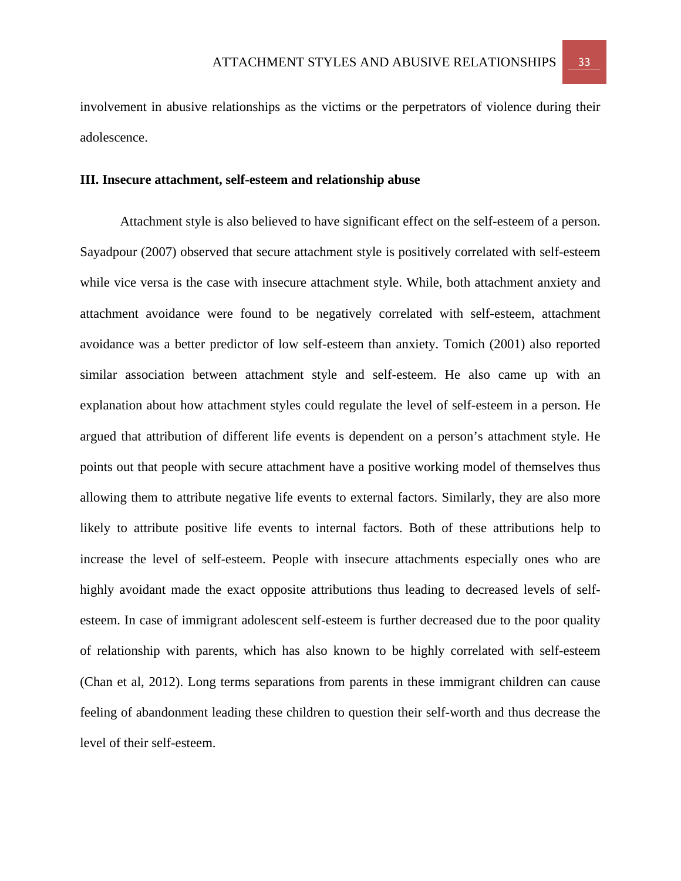involvement in abusive relationships as the victims or the perpetrators of violence during their adolescence.

## **III. Insecure attachment, self-esteem and relationship abuse**

Attachment style is also believed to have significant effect on the self-esteem of a person. Sayadpour (2007) observed that secure attachment style is positively correlated with self-esteem while vice versa is the case with insecure attachment style. While, both attachment anxiety and attachment avoidance were found to be negatively correlated with self-esteem, attachment avoidance was a better predictor of low self-esteem than anxiety. Tomich (2001) also reported similar association between attachment style and self-esteem. He also came up with an explanation about how attachment styles could regulate the level of self-esteem in a person. He argued that attribution of different life events is dependent on a person's attachment style. He points out that people with secure attachment have a positive working model of themselves thus allowing them to attribute negative life events to external factors. Similarly, they are also more likely to attribute positive life events to internal factors. Both of these attributions help to increase the level of self-esteem. People with insecure attachments especially ones who are highly avoidant made the exact opposite attributions thus leading to decreased levels of selfesteem. In case of immigrant adolescent self-esteem is further decreased due to the poor quality of relationship with parents, which has also known to be highly correlated with self-esteem (Chan et al, 2012). Long terms separations from parents in these immigrant children can cause feeling of abandonment leading these children to question their self-worth and thus decrease the level of their self-esteem.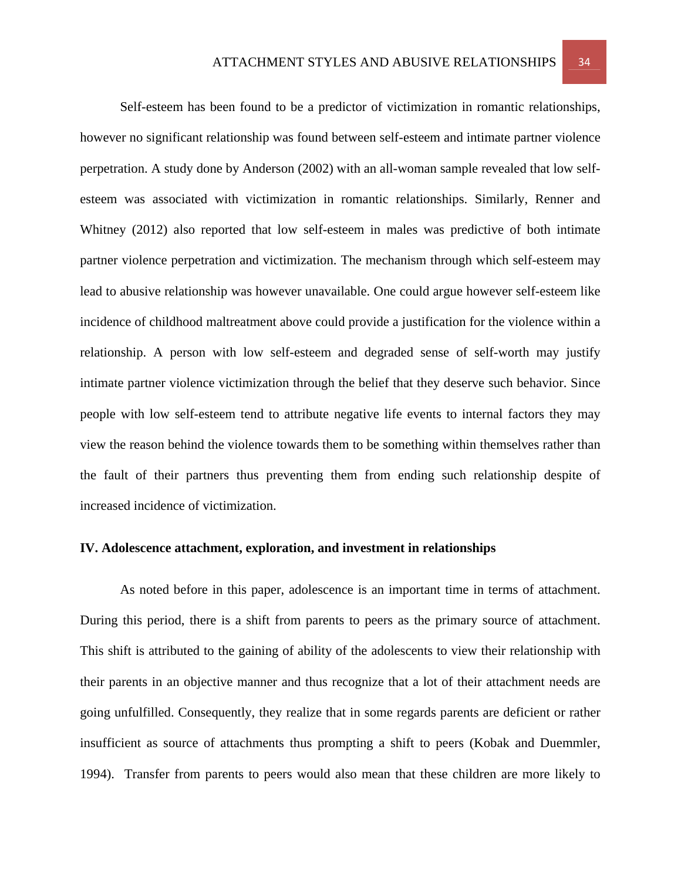Self-esteem has been found to be a predictor of victimization in romantic relationships, however no significant relationship was found between self-esteem and intimate partner violence perpetration. A study done by Anderson (2002) with an all-woman sample revealed that low selfesteem was associated with victimization in romantic relationships. Similarly, Renner and Whitney (2012) also reported that low self-esteem in males was predictive of both intimate partner violence perpetration and victimization. The mechanism through which self-esteem may lead to abusive relationship was however unavailable. One could argue however self-esteem like incidence of childhood maltreatment above could provide a justification for the violence within a relationship. A person with low self-esteem and degraded sense of self-worth may justify intimate partner violence victimization through the belief that they deserve such behavior. Since people with low self-esteem tend to attribute negative life events to internal factors they may view the reason behind the violence towards them to be something within themselves rather than the fault of their partners thus preventing them from ending such relationship despite of increased incidence of victimization.

#### **IV. Adolescence attachment, exploration, and investment in relationships**

As noted before in this paper, adolescence is an important time in terms of attachment. During this period, there is a shift from parents to peers as the primary source of attachment. This shift is attributed to the gaining of ability of the adolescents to view their relationship with their parents in an objective manner and thus recognize that a lot of their attachment needs are going unfulfilled. Consequently, they realize that in some regards parents are deficient or rather insufficient as source of attachments thus prompting a shift to peers (Kobak and Duemmler, 1994). Transfer from parents to peers would also mean that these children are more likely to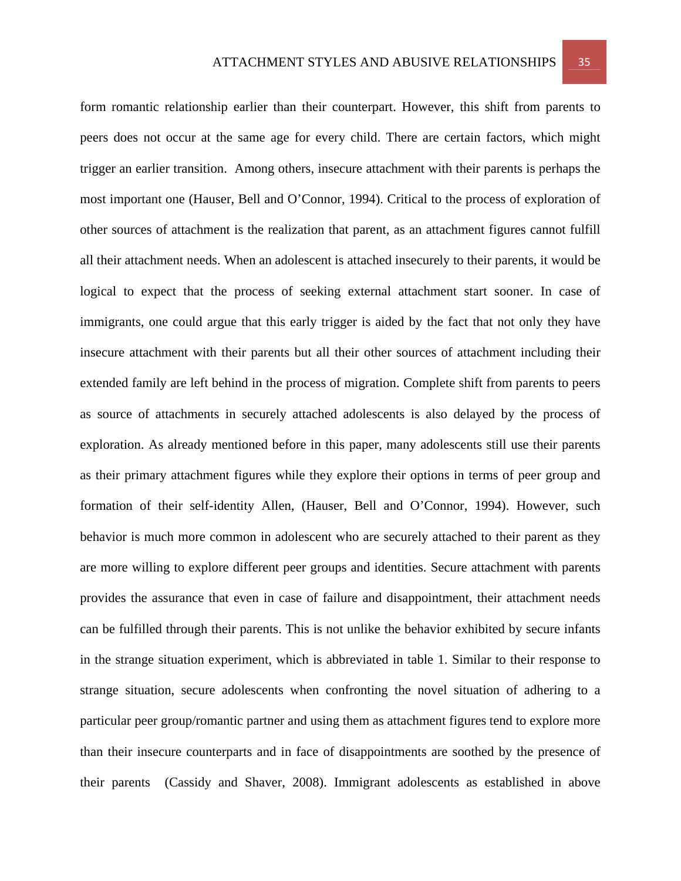form romantic relationship earlier than their counterpart. However, this shift from parents to peers does not occur at the same age for every child. There are certain factors, which might trigger an earlier transition. Among others, insecure attachment with their parents is perhaps the most important one (Hauser, Bell and O'Connor, 1994). Critical to the process of exploration of other sources of attachment is the realization that parent, as an attachment figures cannot fulfill all their attachment needs. When an adolescent is attached insecurely to their parents, it would be logical to expect that the process of seeking external attachment start sooner. In case of immigrants, one could argue that this early trigger is aided by the fact that not only they have insecure attachment with their parents but all their other sources of attachment including their extended family are left behind in the process of migration. Complete shift from parents to peers as source of attachments in securely attached adolescents is also delayed by the process of exploration. As already mentioned before in this paper, many adolescents still use their parents as their primary attachment figures while they explore their options in terms of peer group and formation of their self-identity Allen, (Hauser, Bell and O'Connor, 1994). However, such behavior is much more common in adolescent who are securely attached to their parent as they are more willing to explore different peer groups and identities. Secure attachment with parents provides the assurance that even in case of failure and disappointment, their attachment needs can be fulfilled through their parents. This is not unlike the behavior exhibited by secure infants in the strange situation experiment, which is abbreviated in table 1. Similar to their response to strange situation, secure adolescents when confronting the novel situation of adhering to a particular peer group/romantic partner and using them as attachment figures tend to explore more than their insecure counterparts and in face of disappointments are soothed by the presence of their parents (Cassidy and Shaver, 2008). Immigrant adolescents as established in above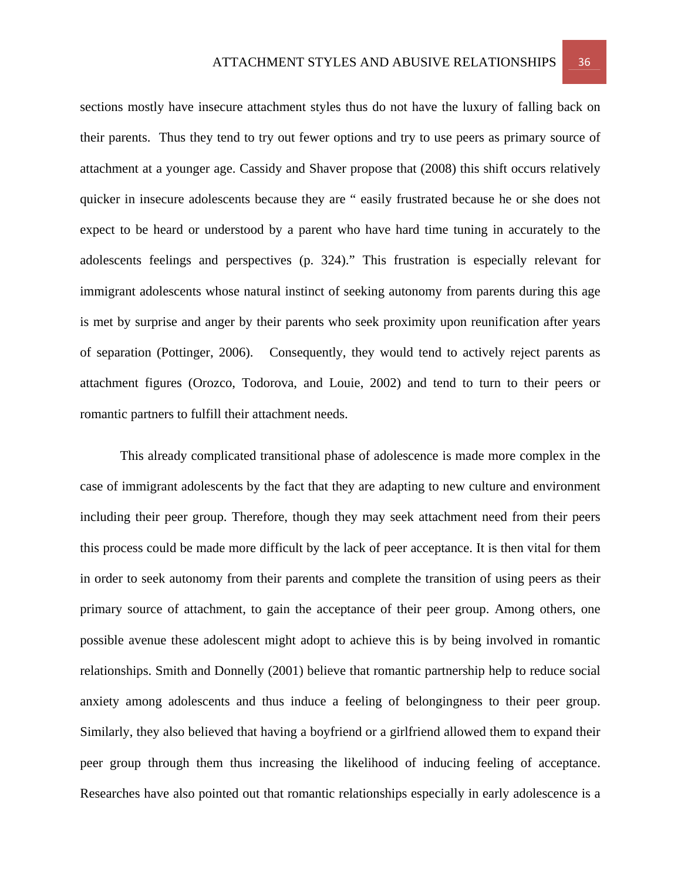sections mostly have insecure attachment styles thus do not have the luxury of falling back on their parents. Thus they tend to try out fewer options and try to use peers as primary source of attachment at a younger age. Cassidy and Shaver propose that (2008) this shift occurs relatively quicker in insecure adolescents because they are " easily frustrated because he or she does not expect to be heard or understood by a parent who have hard time tuning in accurately to the adolescents feelings and perspectives (p. 324)." This frustration is especially relevant for immigrant adolescents whose natural instinct of seeking autonomy from parents during this age is met by surprise and anger by their parents who seek proximity upon reunification after years of separation (Pottinger, 2006). Consequently, they would tend to actively reject parents as attachment figures (Orozco, Todorova, and Louie, 2002) and tend to turn to their peers or romantic partners to fulfill their attachment needs.

This already complicated transitional phase of adolescence is made more complex in the case of immigrant adolescents by the fact that they are adapting to new culture and environment including their peer group. Therefore, though they may seek attachment need from their peers this process could be made more difficult by the lack of peer acceptance. It is then vital for them in order to seek autonomy from their parents and complete the transition of using peers as their primary source of attachment, to gain the acceptance of their peer group. Among others, one possible avenue these adolescent might adopt to achieve this is by being involved in romantic relationships. Smith and Donnelly (2001) believe that romantic partnership help to reduce social anxiety among adolescents and thus induce a feeling of belongingness to their peer group. Similarly, they also believed that having a boyfriend or a girlfriend allowed them to expand their peer group through them thus increasing the likelihood of inducing feeling of acceptance. Researches have also pointed out that romantic relationships especially in early adolescence is a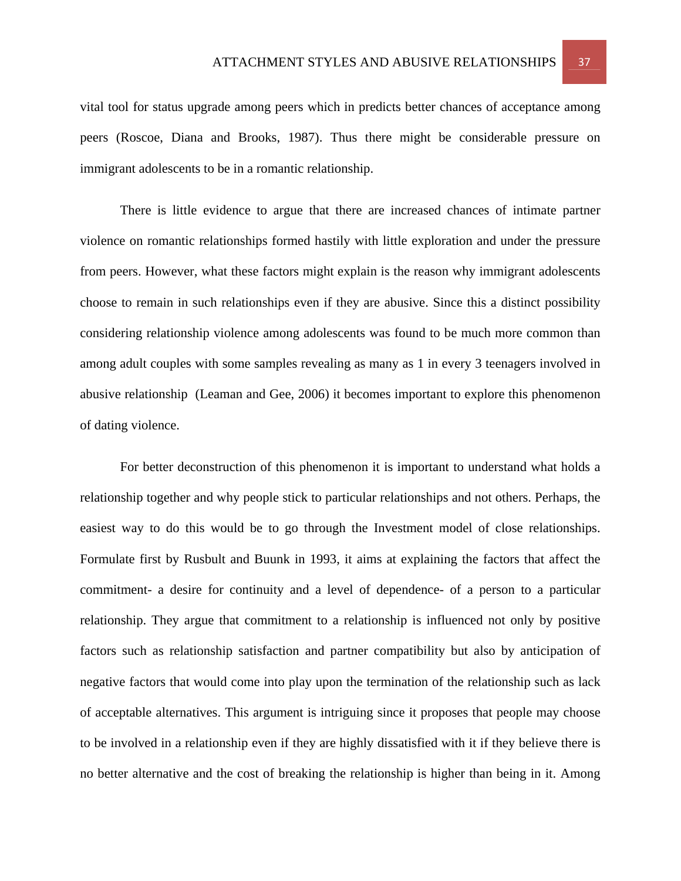vital tool for status upgrade among peers which in predicts better chances of acceptance among peers (Roscoe, Diana and Brooks, 1987). Thus there might be considerable pressure on immigrant adolescents to be in a romantic relationship.

There is little evidence to argue that there are increased chances of intimate partner violence on romantic relationships formed hastily with little exploration and under the pressure from peers. However, what these factors might explain is the reason why immigrant adolescents choose to remain in such relationships even if they are abusive. Since this a distinct possibility considering relationship violence among adolescents was found to be much more common than among adult couples with some samples revealing as many as 1 in every 3 teenagers involved in abusive relationship (Leaman and Gee, 2006) it becomes important to explore this phenomenon of dating violence.

For better deconstruction of this phenomenon it is important to understand what holds a relationship together and why people stick to particular relationships and not others. Perhaps, the easiest way to do this would be to go through the Investment model of close relationships. Formulate first by Rusbult and Buunk in 1993, it aims at explaining the factors that affect the commitment- a desire for continuity and a level of dependence- of a person to a particular relationship. They argue that commitment to a relationship is influenced not only by positive factors such as relationship satisfaction and partner compatibility but also by anticipation of negative factors that would come into play upon the termination of the relationship such as lack of acceptable alternatives. This argument is intriguing since it proposes that people may choose to be involved in a relationship even if they are highly dissatisfied with it if they believe there is no better alternative and the cost of breaking the relationship is higher than being in it. Among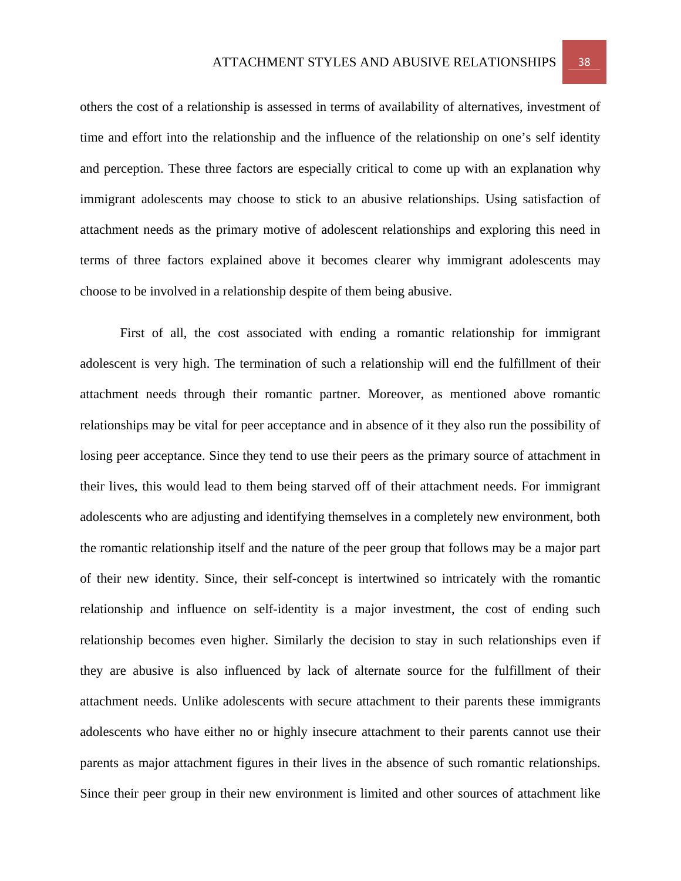others the cost of a relationship is assessed in terms of availability of alternatives, investment of time and effort into the relationship and the influence of the relationship on one's self identity and perception. These three factors are especially critical to come up with an explanation why immigrant adolescents may choose to stick to an abusive relationships. Using satisfaction of attachment needs as the primary motive of adolescent relationships and exploring this need in terms of three factors explained above it becomes clearer why immigrant adolescents may choose to be involved in a relationship despite of them being abusive.

First of all, the cost associated with ending a romantic relationship for immigrant adolescent is very high. The termination of such a relationship will end the fulfillment of their attachment needs through their romantic partner. Moreover, as mentioned above romantic relationships may be vital for peer acceptance and in absence of it they also run the possibility of losing peer acceptance. Since they tend to use their peers as the primary source of attachment in their lives, this would lead to them being starved off of their attachment needs. For immigrant adolescents who are adjusting and identifying themselves in a completely new environment, both the romantic relationship itself and the nature of the peer group that follows may be a major part of their new identity. Since, their self-concept is intertwined so intricately with the romantic relationship and influence on self-identity is a major investment, the cost of ending such relationship becomes even higher. Similarly the decision to stay in such relationships even if they are abusive is also influenced by lack of alternate source for the fulfillment of their attachment needs. Unlike adolescents with secure attachment to their parents these immigrants adolescents who have either no or highly insecure attachment to their parents cannot use their parents as major attachment figures in their lives in the absence of such romantic relationships. Since their peer group in their new environment is limited and other sources of attachment like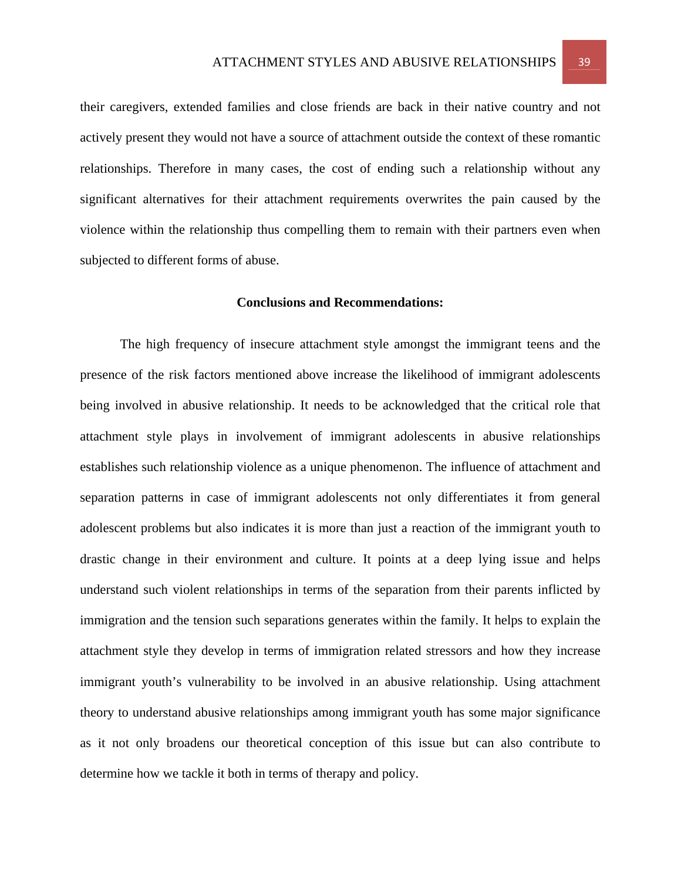their caregivers, extended families and close friends are back in their native country and not actively present they would not have a source of attachment outside the context of these romantic relationships. Therefore in many cases, the cost of ending such a relationship without any significant alternatives for their attachment requirements overwrites the pain caused by the violence within the relationship thus compelling them to remain with their partners even when subjected to different forms of abuse.

## **Conclusions and Recommendations:**

 The high frequency of insecure attachment style amongst the immigrant teens and the presence of the risk factors mentioned above increase the likelihood of immigrant adolescents being involved in abusive relationship. It needs to be acknowledged that the critical role that attachment style plays in involvement of immigrant adolescents in abusive relationships establishes such relationship violence as a unique phenomenon. The influence of attachment and separation patterns in case of immigrant adolescents not only differentiates it from general adolescent problems but also indicates it is more than just a reaction of the immigrant youth to drastic change in their environment and culture. It points at a deep lying issue and helps understand such violent relationships in terms of the separation from their parents inflicted by immigration and the tension such separations generates within the family. It helps to explain the attachment style they develop in terms of immigration related stressors and how they increase immigrant youth's vulnerability to be involved in an abusive relationship. Using attachment theory to understand abusive relationships among immigrant youth has some major significance as it not only broadens our theoretical conception of this issue but can also contribute to determine how we tackle it both in terms of therapy and policy.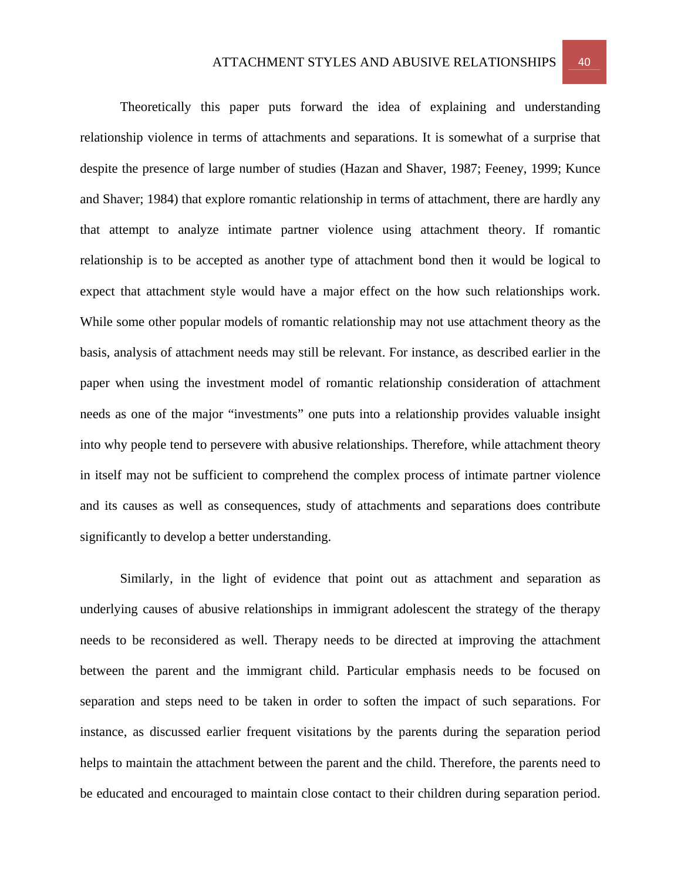Theoretically this paper puts forward the idea of explaining and understanding relationship violence in terms of attachments and separations. It is somewhat of a surprise that despite the presence of large number of studies (Hazan and Shaver, 1987; Feeney, 1999; Kunce and Shaver; 1984) that explore romantic relationship in terms of attachment, there are hardly any that attempt to analyze intimate partner violence using attachment theory. If romantic relationship is to be accepted as another type of attachment bond then it would be logical to expect that attachment style would have a major effect on the how such relationships work. While some other popular models of romantic relationship may not use attachment theory as the basis, analysis of attachment needs may still be relevant. For instance, as described earlier in the paper when using the investment model of romantic relationship consideration of attachment needs as one of the major "investments" one puts into a relationship provides valuable insight into why people tend to persevere with abusive relationships. Therefore, while attachment theory in itself may not be sufficient to comprehend the complex process of intimate partner violence and its causes as well as consequences, study of attachments and separations does contribute significantly to develop a better understanding.

Similarly, in the light of evidence that point out as attachment and separation as underlying causes of abusive relationships in immigrant adolescent the strategy of the therapy needs to be reconsidered as well. Therapy needs to be directed at improving the attachment between the parent and the immigrant child. Particular emphasis needs to be focused on separation and steps need to be taken in order to soften the impact of such separations. For instance, as discussed earlier frequent visitations by the parents during the separation period helps to maintain the attachment between the parent and the child. Therefore, the parents need to be educated and encouraged to maintain close contact to their children during separation period.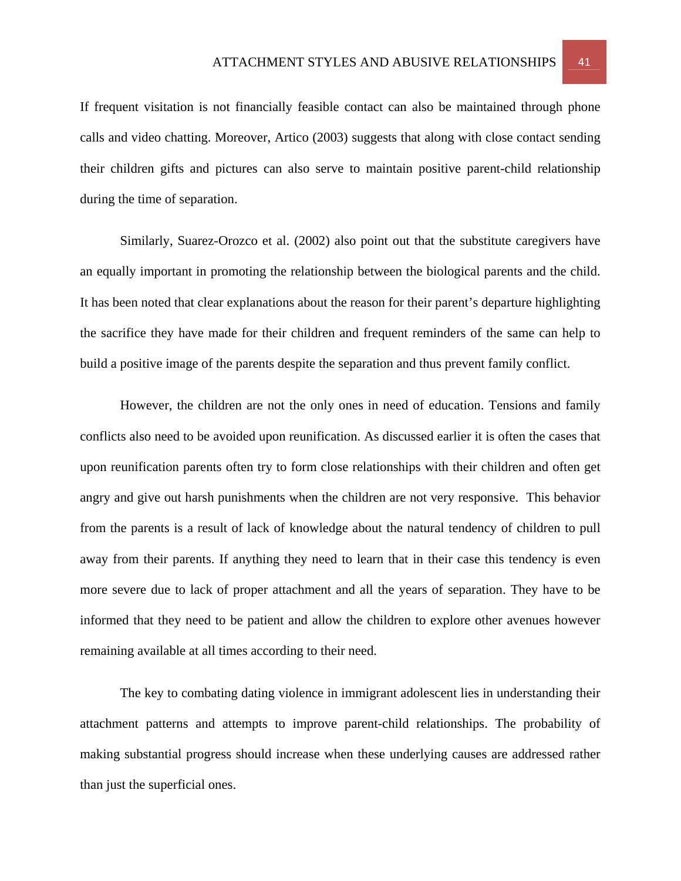If frequent visitation is not financially feasible contact can also be maintained through phone calls and video chatting. Moreover, Artico (2003) suggests that along with close contact sending their children gifts and pictures can also serve to maintain positive parent-child relationship during the time of separation.

 Similarly, Suarez-Orozco et al. (2002) also point out that the substitute caregivers have an equally important in promoting the relationship between the biological parents and the child. It has been noted that clear explanations about the reason for their parent's departure highlighting the sacrifice they have made for their children and frequent reminders of the same can help to build a positive image of the parents despite the separation and thus prevent family conflict.

 However, the children are not the only ones in need of education. Tensions and family conflicts also need to be avoided upon reunification. As discussed earlier it is often the cases that upon reunification parents often try to form close relationships with their children and often get angry and give out harsh punishments when the children are not very responsive. This behavior from the parents is a result of lack of knowledge about the natural tendency of children to pull away from their parents. If anything they need to learn that in their case this tendency is even more severe due to lack of proper attachment and all the years of separation. They have to be informed that they need to be patient and allow the children to explore other avenues however remaining available at all times according to their need.

The key to combating dating violence in immigrant adolescent lies in understanding their attachment patterns and attempts to improve parent-child relationships. The probability of making substantial progress should increase when these underlying causes are addressed rather than just the superficial ones.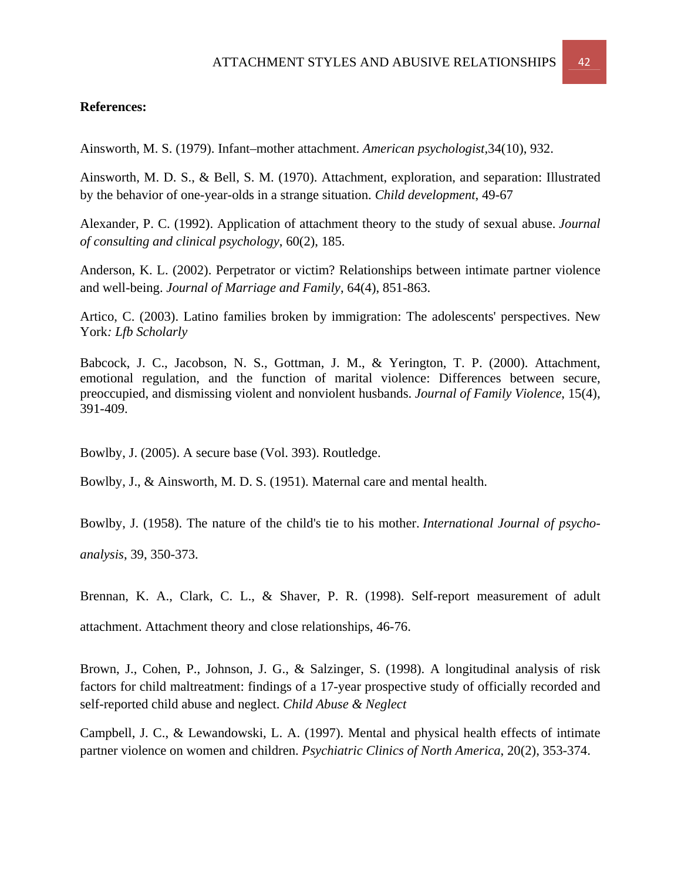# **References:**

Ainsworth, M. S. (1979). Infant–mother attachment. *American psychologist*,34(10), 932.

Ainsworth, M. D. S., & Bell, S. M. (1970). Attachment, exploration, and separation: Illustrated by the behavior of one-year-olds in a strange situation. *Child development*, 49-67

Alexander, P. C. (1992). Application of attachment theory to the study of sexual abuse. *Journal of consulting and clinical psychology*, 60(2), 185.

Anderson, K. L. (2002). Perpetrator or victim? Relationships between intimate partner violence and well-being. *Journal of Marriage and Family*, 64(4), 851-863.

Artico, C. (2003). Latino families broken by immigration: The adolescents' perspectives. New York*: Lfb Scholarly* 

Babcock, J. C., Jacobson, N. S., Gottman, J. M., & Yerington, T. P. (2000). Attachment, emotional regulation, and the function of marital violence: Differences between secure, preoccupied, and dismissing violent and nonviolent husbands. *Journal of Family Violence*, 15(4), 391-409.

Bowlby, J. (2005). A secure base (Vol. 393). Routledge.

Bowlby, J., & Ainsworth, M. D. S. (1951). Maternal care and mental health.

Bowlby, J. (1958). The nature of the child's tie to his mother. *International Journal of psychoanalysis*, 39, 350-373.

Brennan, K. A., Clark, C. L., & Shaver, P. R. (1998). Self-report measurement of adult

attachment. Attachment theory and close relationships, 46-76.

Brown, J., Cohen, P., Johnson, J. G., & Salzinger, S. (1998). A longitudinal analysis of risk factors for child maltreatment: findings of a 17-year prospective study of officially recorded and self-reported child abuse and neglect. *Child Abuse & Neglect*

Campbell, J. C., & Lewandowski, L. A. (1997). Mental and physical health effects of intimate partner violence on women and children. *Psychiatric Clinics of North America*, 20(2), 353-374.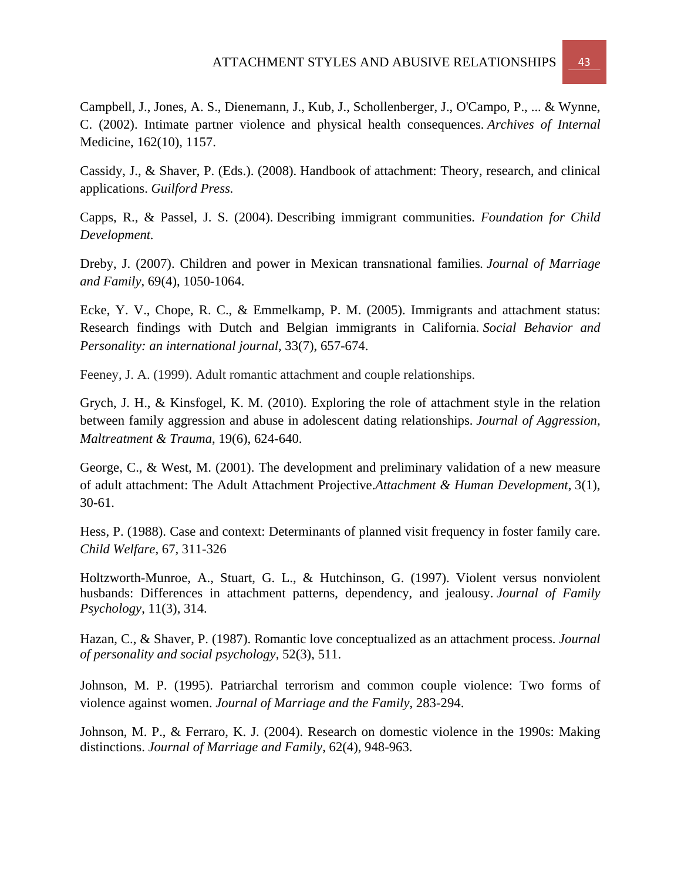Campbell, J., Jones, A. S., Dienemann, J., Kub, J., Schollenberger, J., O'Campo, P., ... & Wynne, C. (2002). Intimate partner violence and physical health consequences. *Archives of Internal*  Medicine, 162(10), 1157.

Cassidy, J., & Shaver, P. (Eds.). (2008). Handbook of attachment: Theory, research, and clinical applications. *Guilford Press.* 

Capps, R., & Passel, J. S. (2004). Describing immigrant communities. *Foundation for Child Development.* 

Dreby, J. (2007). Children and power in Mexican transnational families*. Journal of Marriage and Family*, 69(4), 1050-1064.

Ecke, Y. V., Chope, R. C., & Emmelkamp, P. M. (2005). Immigrants and attachment status: Research findings with Dutch and Belgian immigrants in California*. Social Behavior and Personality: an international journal*, 33(7), 657-674.

Feeney, J. A. (1999). Adult romantic attachment and couple relationships.

Grych, J. H., & Kinsfogel, K. M. (2010). Exploring the role of attachment style in the relation between family aggression and abuse in adolescent dating relationships. *Journal of Aggression, Maltreatment & Trauma*, 19(6), 624-640.

George, C., & West, M. (2001). The development and preliminary validation of a new measure of adult attachment: The Adult Attachment Projective.*Attachment & Human Development*, 3(1), 30-61.

Hess, P. (1988). Case and context: Determinants of planned visit frequency in foster family care. *Child Welfare*, 67, 311-326

Holtzworth-Munroe, A., Stuart, G. L., & Hutchinson, G. (1997). Violent versus nonviolent husbands: Differences in attachment patterns, dependency, and jealousy. *Journal of Family Psychology*, 11(3), 314.

Hazan, C., & Shaver, P. (1987). Romantic love conceptualized as an attachment process. *Journal of personality and social psychology*, 52(3), 511.

Johnson, M. P. (1995). Patriarchal terrorism and common couple violence: Two forms of violence against women. *Journal of Marriage and the Family*, 283-294.

Johnson, M. P., & Ferraro, K. J. (2004). Research on domestic violence in the 1990s: Making distinctions. *Journal of Marriage and Family*, 62(4), 948-963.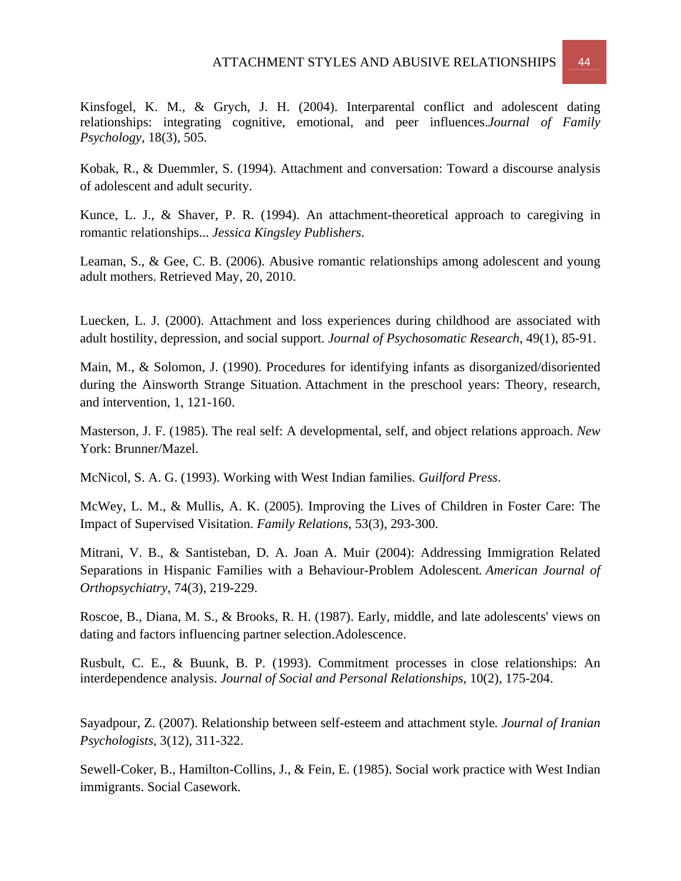Kobak, R., & Duemmler, S. (1994). Attachment and conversation: Toward a discourse analysis of adolescent and adult security.

Kunce, L. J., & Shaver, P. R. (1994). An attachment-theoretical approach to caregiving in romantic relationships... *Jessica Kingsley Publishers*.

Leaman, S., & Gee, C. B. (2006). Abusive romantic relationships among adolescent and young adult mothers. Retrieved May, 20, 2010.

Luecken, L. J. (2000). Attachment and loss experiences during childhood are associated with adult hostility, depression, and social support. *Journal of Psychosomatic Research*, 49(1), 85-91.

Main, M., & Solomon, J. (1990). Procedures for identifying infants as disorganized/disoriented during the Ainsworth Strange Situation. Attachment in the preschool years: Theory, research, and intervention, 1, 121-160.

Masterson, J. F. (1985). The real self: A developmental, self, and object relations approach. *New*  York: Brunner/Mazel.

McNicol, S. A. G. (1993). Working with West Indian families. *Guilford Press*.

McWey, L. M., & Mullis, A. K. (2005). Improving the Lives of Children in Foster Care: The Impact of Supervised Visitation. *Family Relations*, 53(3), 293-300.

Mitrani, V. B., & Santisteban, D. A. Joan A. Muir (2004): Addressing Immigration Related Separations in Hispanic Families with a Behaviour-Problem Adolescent*. American Journal of Orthopsychiatry*, 74(3), 219-229.

Roscoe, B., Diana, M. S., & Brooks, R. H. (1987). Early, middle, and late adolescents' views on dating and factors influencing partner selection.Adolescence.

Rusbult, C. E., & Buunk, B. P. (1993). Commitment processes in close relationships: An interdependence analysis. *Journal of Social and Personal Relationships*, 10(2), 175-204.

Sayadpour, Z. (2007). Relationship between self-esteem and attachment style*. Journal of Iranian Psychologists*, 3(12), 311-322.

Sewell-Coker, B., Hamilton-Collins, J., & Fein, E. (1985). Social work practice with West Indian immigrants. Social Casework.